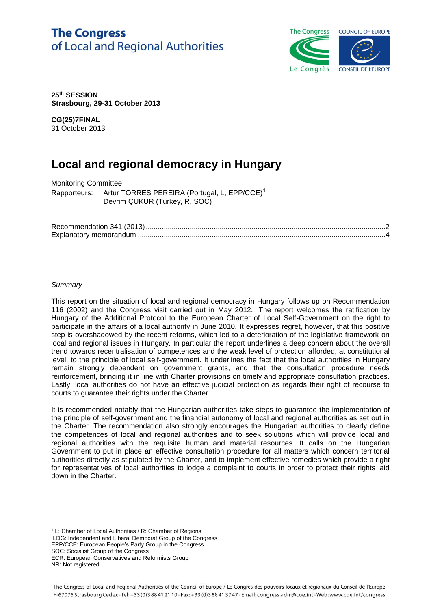## **The Congress** of Local and Regional Authorities



**25th SESSION Strasbourg, 29-31 October 2013** 

**CG(25)7FINAL** 31 October 2013

# **Local and regional democracy in Hungary**

Monitoring Committee Rapporteurs: Artur TORRES PEREIRA (Portugal, L, EPP/CCE)<sup>1</sup> Devrim ÇUKUR (Turkey, R, SOC)

## *Summary*

This report on the situation of local and regional democracy in Hungary follows up on Recommendation 116 (2002) and the Congress visit carried out in May 2012. The report welcomes the ratification by Hungary of the Additional Protocol to the European Charter of Local Self-Government on the right to participate in the affairs of a local authority in June 2010. It expresses regret, however, that this positive step is overshadowed by the recent reforms, which led to a deterioration of the legislative framework on local and regional issues in Hungary. In particular the report underlines a deep concern about the overall trend towards recentralisation of competences and the weak level of protection afforded, at constitutional level, to the principle of local self-government. It underlines the fact that the local authorities in Hungary remain strongly dependent on government grants, and that the consultation procedure needs reinforcement, bringing it in line with Charter provisions on timely and appropriate consultation practices. Lastly, local authorities do not have an effective judicial protection as regards their right of recourse to courts to guarantee their rights under the Charter.

It is recommended notably that the Hungarian authorities take steps to guarantee the implementation of the principle of self-government and the financial autonomy of local and regional authorities as set out in the Charter. The recommendation also strongly encourages the Hungarian authorities to clearly define the competences of local and regional authorities and to seek solutions which will provide local and regional authorities with the requisite human and material resources. It calls on the Hungarian Government to put in place an effective consultation procedure for all matters which concern territorial authorities directly as stipulated by the Charter, and to implement effective remedies which provide a right for representatives of local authorities to lodge a complaint to courts in order to protect their rights laid down in the Charter.

<sup>1</sup> L: Chamber of Local Authorities / R: Chamber of Regions

ILDG: Independent and Liberal Democrat Group of the Congress

EPP/CCE: European People's Party Group in the Congress

SOC: Socialist Group of the Congress

 $\overline{a}$ 

ECR: European Conservatives and Reformists Group NR: Not registered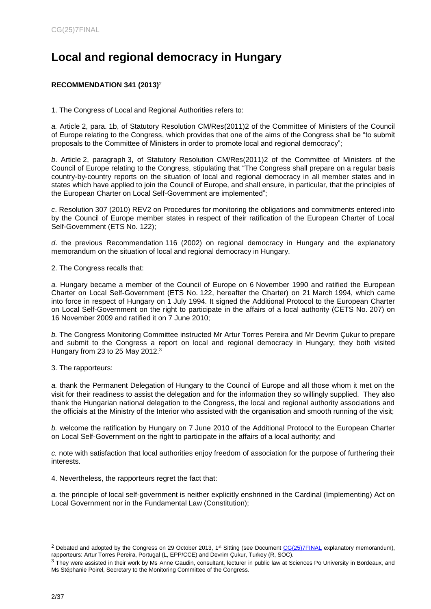# **Local and regional democracy in Hungary**

## <span id="page-1-0"></span>**RECOMMENDATION 341 (2013)**<sup>2</sup>

1. The Congress of Local and Regional Authorities refers to:

*a.* Article 2, para. 1b, of Statutory Resolution [CM/Res\(2011\)2](https://wcd.coe.int/ViewDoc.jsp?Ref=CM/Res(2011)2&Language=lanEnglish&Site=COE&BackColorInternet=DBDCF2&BackColorIntranet=FDC864&BackColorLogged=FDC864) of the Committee of Ministers of the Council of Europe relating to the Congress, which provides that one of the aims of the Congress shall be "to submit proposals to the Committee of Ministers in order to promote local and regional democracy";

*b*. Article 2, paragraph 3, of Statutory Resolution [CM/Res\(2011\)2](https://wcd.coe.int/ViewDoc.jsp?Ref=CM/Res(2011)2&Language=lanEnglish&Site=COE&BackColorInternet=DBDCF2&BackColorIntranet=FDC864&BackColorLogged=FDC864) of the Committee of Ministers of the Council of Europe relating to the Congress, stipulating that "The Congress shall prepare on a regular basis country-by-country reports on the situation of local and regional democracy in all member states and in states which have applied to join the Council of Europe, and shall ensure, in particular, that the principles of the European Charter on Local Self-Government are implemented";

*c*. Resolution 307 (2010) REV2 on Procedures for monitoring the obligations and commitments entered into by the Council of Europe member states in respect of their ratification of the European Charter of Local Self-Government (ETS No. 122);

*d*. the previous Recommendation 116 (2002) on regional democracy in Hungary and the explanatory memorandum on the situation of local and regional democracy in Hungary.

2. The Congress recalls that:

*a.* Hungary became a member of the Council of Europe on 6 November 1990 and ratified the European Charter on Local Self-Government (ETS No. 122, hereafter the Charter) on 21 March 1994, which came into force in respect of Hungary on 1 July 1994. It signed the Additional Protocol to the European Charter on Local Self-Government on the right to participate in the affairs of a local authority (CETS No. 207) on 16 November 2009 and ratified it on 7 June 2010;

*b.* The Congress Monitoring Committee instructed Mr Artur Torres Pereira and Mr Devrim Çukur to prepare and submit to the Congress a report on local and regional democracy in Hungary; they both visited Hungary from 23 to 25 May 2012.<sup>3</sup>

3. The rapporteurs:

*a.* thank the Permanent Delegation of Hungary to the Council of Europe and all those whom it met on the visit for their readiness to assist the delegation and for the information they so willingly supplied. They also thank the Hungarian national delegation to the Congress, the local and regional authority associations and the officials at the Ministry of the Interior who assisted with the organisation and smooth running of the visit;

*b.* welcome the ratification by Hungary on 7 June 2010 of the Additional Protocol to the European Charter on Local Self-Government on the right to participate in the affairs of a local authority; and

*c.* note with satisfaction that local authorities enjoy freedom of association for the purpose of furthering their interests.

4. Nevertheless, the rapporteurs regret the fact that:

*a.* the principle of local self-government is neither explicitly enshrined in the Cardinal (Implementing) Act on Local Government nor in the Fundamental Law (Constitution);

<sup>&</sup>lt;sup>2</sup> Debated and adopted by the Congress on 29 October 2013, 1<sup>st</sup> Sitting (see Document [CG\(25\)7FINAL](https://wcd.coe.int/ViewDoc.jsp?id=2113213&Site=COE&BackColorInternet=C3C3C3&BackColorIntranet=CACC9A&BackColorLogged=EFEA9Chttps://wcd.coe.int/ViewDoc.jsp?id=2113213&Site=COE&BackColorInternet=C3C3C3&BackColorIntranet=CACC9A&BackColorLogged=EFEA9C) explanatory memorandum), rapporteurs: Artur Torres Pereira, Portugal (L, EPP/CCE) and Devrim Çukur, Turkey (R, SOC).

<sup>&</sup>lt;sup>3</sup> They were assisted in their work by Ms Anne Gaudin, consultant, lecturer in public law at Sciences Po University in Bordeaux, and Ms Stéphanie Poirel, Secretary to the Monitoring Committee of the Congress.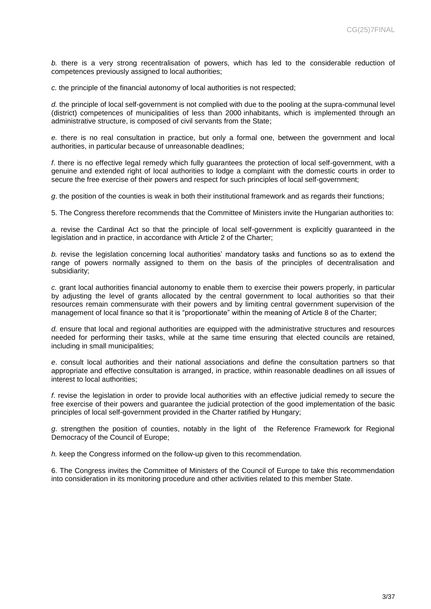*b.* there is a very strong recentralisation of powers, which has led to the considerable reduction of competences previously assigned to local authorities;

*c.* the principle of the financial autonomy of local authorities is not respected;

*d.* the principle of local self-government is not complied with due to the pooling at the supra-communal level (district) competences of municipalities of less than 2000 inhabitants, which is implemented through an administrative structure, is composed of civil servants from the State;

*e.* there is no real consultation in practice, but only a formal one, between the government and local authorities, in particular because of unreasonable deadlines;

*f*. there is no effective legal remedy which fully guarantees the protection of local self-government, with a genuine and extended right of local authorities to lodge a complaint with the domestic courts in order to secure the free exercise of their powers and respect for such principles of local self-government;

*g*. the position of the counties is weak in both their institutional framework and as regards their functions;

5. The Congress therefore recommends that the Committee of Ministers invite the Hungarian authorities to:

*a.* revise the CardinaI Act so that the principle of local self-government is explicitly guaranteed in the legislation and in practice, in accordance with Article 2 of the Charter;

*b.* revise the legislation concerning local authorities' mandatory tasks and functions so as to extend the range of powers normally assigned to them on the basis of the principles of decentralisation and subsidiarity;

*c.* grant local authorities financial autonomy to enable them to exercise their powers properly, in particular by adjusting the level of grants allocated by the central government to local authorities so that their resources remain commensurate with their powers and by limiting central government supervision of the management of local finance so that it is "proportionate" within the meaning of Article 8 of the Charter;

*d.* ensure that local and regional authorities are equipped with the administrative structures and resources needed for performing their tasks, while at the same time ensuring that elected councils are retained, including in small municipalities;

*e*. consult local authorities and their national associations and define the consultation partners so that appropriate and effective consultation is arranged, in practice, within reasonable deadlines on all issues of interest to local authorities;

*f*. revise the legislation in order to provide local authorities with an effective judicial remedy to secure the free exercise of their powers and guarantee the judicial protection of the good implementation of the basic principles of local self-government provided in the Charter ratified by Hungary;

*g*. strengthen the position of counties, notably in the light of the Reference Framework for Regional Democracy of the Council of Europe;

*h.* keep the Congress informed on the follow-up given to this recommendation.

6. The Congress invites the Committee of Ministers of the Council of Europe to take this recommendation into consideration in its monitoring procedure and other activities related to this member State.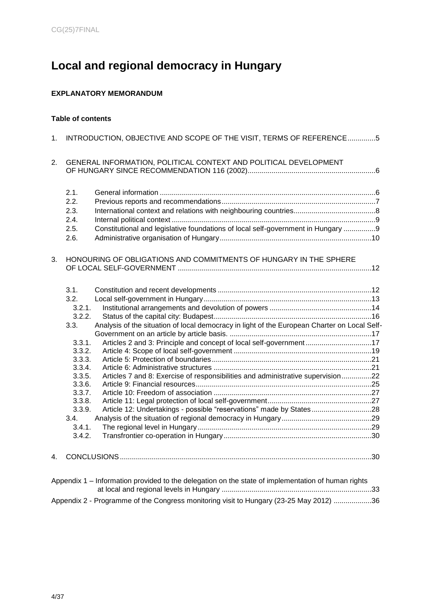# **Local and regional democracy in Hungary**

## <span id="page-3-0"></span>**EXPLANATORY MEMORANDUM**

## **Table of contents**

| 1. | INTRODUCTION, OBJECTIVE AND SCOPE OF THE VISIT, TERMS OF REFERENCE5                                                                                                                                                                                                                                                                                                                                                                                                                            |  |
|----|------------------------------------------------------------------------------------------------------------------------------------------------------------------------------------------------------------------------------------------------------------------------------------------------------------------------------------------------------------------------------------------------------------------------------------------------------------------------------------------------|--|
| 2. | GENERAL INFORMATION, POLITICAL CONTEXT AND POLITICAL DEVELOPMENT                                                                                                                                                                                                                                                                                                                                                                                                                               |  |
|    | 2.1.<br>2.2.<br>2.3.<br>2.4.<br>Constitutional and legislative foundations of local self-government in Hungary 9<br>2.5.                                                                                                                                                                                                                                                                                                                                                                       |  |
|    | 2.6.                                                                                                                                                                                                                                                                                                                                                                                                                                                                                           |  |
| 3. | HONOURING OF OBLIGATIONS AND COMMITMENTS OF HUNGARY IN THE SPHERE                                                                                                                                                                                                                                                                                                                                                                                                                              |  |
|    | 3.1.<br>3.2.<br>3.2.1.<br>3.2.2.<br>Analysis of the situation of local democracy in light of the European Charter on Local Self-<br>3.3.<br>Articles 2 and 3: Principle and concept of local self-government17<br>3.3.1.<br>3.3.2.<br>3.3.3.<br>3.3.4.<br>Articles 7 and 8: Exercise of responsibilities and administrative supervision22<br>3.3.5.<br>3.3.6.<br>3.3.7.<br>3.3.8.<br>Article 12: Undertakings - possible "reservations" made by States28<br>3.3.9.<br>3.4.<br>3.4.1.<br>3.4.2. |  |
| 4. |                                                                                                                                                                                                                                                                                                                                                                                                                                                                                                |  |
|    | Appendix 1 - Information provided to the delegation on the state of implementation of human rights                                                                                                                                                                                                                                                                                                                                                                                             |  |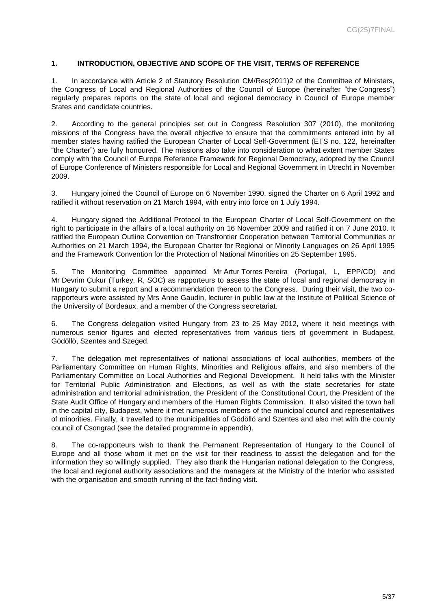#### <span id="page-4-0"></span>**1. INTRODUCTION, OBJECTIVE AND SCOPE OF THE VISIT, TERMS OF REFERENCE**

1. In accordance with Article 2 of Statutory Resolution CM/Res(2011)2 of the Committee of Ministers, the Congress of Local and Regional Authorities of the Council of Europe (hereinafter "the Congress") regularly prepares reports on the state of local and regional democracy in Council of Europe member States and candidate countries.

2. According to the general principles set out in Congress Resolution 307 (2010), the monitoring missions of the Congress have the overall objective to ensure that the commitments entered into by all member states having ratified the European Charter of Local Self-Government (ETS no. 122, hereinafter "the Charter") are fully honoured. The missions also take into consideration to what extent member States comply with the Council of Europe Reference Framework for Regional Democracy, adopted by the Council of Europe Conference of Ministers responsible for Local and Regional Government in Utrecht in November 2009.

3. Hungary joined the Council of Europe on 6 November 1990, signed the Charter on 6 April 1992 and ratified it without reservation on 21 March 1994, with entry into force on 1 July 1994.

4. Hungary signed the Additional Protocol to the European Charter of Local Self-Government on the right to participate in the affairs of a local authority on 16 November 2009 and ratified it on 7 June 2010. It ratified the European Outline Convention on Transfrontier Cooperation between Territorial Communities or Authorities on 21 March 1994, the European Charter for Regional or Minority Languages on 26 April 1995 and the Framework Convention for the Protection of National Minorities on 25 September 1995.

5. The Monitoring Committee appointed Mr Artur Torres Pereira (Portugal, L, EPP/CD) and Mr Devrim Çukur (Turkey, R, SOC) as rapporteurs to assess the state of local and regional democracy in Hungary to submit a report and a recommendation thereon to the Congress. During their visit, the two corapporteurs were assisted by Mrs Anne Gaudin, lecturer in public law at the Institute of Political Science of the University of Bordeaux, and a member of the Congress secretariat.

6. The Congress delegation visited Hungary from 23 to 25 May 2012, where it held meetings with numerous senior figures and elected representatives from various tiers of government in Budapest, Gödöllö, Szentes and Szeged.

7. The delegation met representatives of national associations of local authorities, members of the Parliamentary Committee on Human Rights, Minorities and Religious affairs, and also members of the Parliamentary Committee on Local Authorities and Regional Development. It held talks with the Minister for Territorial Public Administration and Elections, as well as with the state secretaries for state administration and territorial administration, the President of the Constitutional Court, the President of the State Audit Office of Hungary and members of the Human Rights Commission. It also visited the town hall in the capital city, Budapest, where it met numerous members of the municipal council and representatives of minorities. Finally, it travelled to the municipalities of Gödöllö and Szentes and also met with the county council of Csongrad (see the detailed programme in appendix).

8. The co-rapporteurs wish to thank the Permanent Representation of Hungary to the Council of Europe and all those whom it met on the visit for their readiness to assist the delegation and for the information they so willingly supplied. They also thank the Hungarian national delegation to the Congress, the local and regional authority associations and the managers at the Ministry of the Interior who assisted with the organisation and smooth running of the fact-finding visit.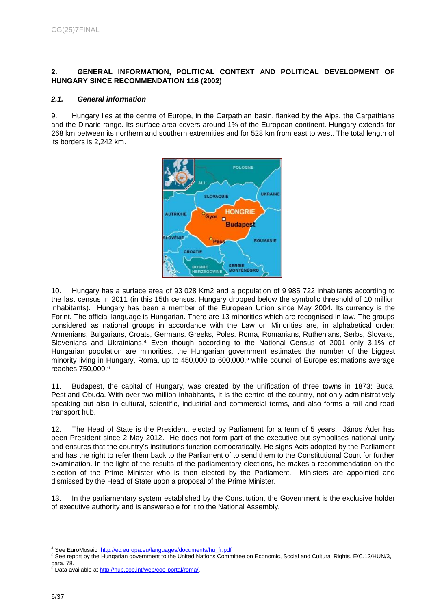## <span id="page-5-0"></span>**2. GENERAL INFORMATION, POLITICAL CONTEXT AND POLITICAL DEVELOPMENT OF HUNGARY SINCE RECOMMENDATION 116 (2002)**

#### <span id="page-5-1"></span>*2.1. General information*

9. Hungary lies at the centre of Europe, in the Carpathian basin, flanked by the Alps, the Carpathians and the Dinaric range. Its surface area covers around 1% of the European continent. Hungary extends for 268 km between its northern and southern extremities and for 528 km from east to west. The total length of its borders is 2,242 km.



10. Hungary has a surface area of 93 028 Km2 and a population of 9 985 722 inhabitants according to the last census in 2011 (in this 15th census, Hungary dropped below the symbolic threshold of 10 million inhabitants). Hungary has been a member of the European Union since May 2004. Its currency is the Forint. The official language is Hungarian. There are 13 minorities which are recognised in law. The groups considered as national groups in accordance with the Law on Minorities are, in alphabetical order: Armenians, Bulgarians, Croats, Germans, Greeks, Poles, Roma, Romanians, Ruthenians, Serbs, Slovaks, Slovenians and Ukrainians. <sup>4</sup> Even though according to the National Census of 2001 only 3,1% of Hungarian population are minorities, the Hungarian government estimates the number of the biggest minority living in Hungary, Roma, up to 450,000 to 600,000, <sup>5</sup> while council of Europe estimations average reaches 750,000.<sup>6</sup>

11. Budapest, the capital of Hungary, was created by the unification of three towns in 1873: Buda, Pest and Obuda. With over two million inhabitants, it is the centre of the country, not only administratively speaking but also in cultural, scientific, industrial and commercial terms, and also forms a rail and road transport hub.

12. The Head of State is the President, elected by Parliament for a term of 5 years. János Áder has been President since 2 May 2012. He does not form part of the executive but symbolises national unity and ensures that the country's institutions function democratically. He signs Acts adopted by the Parliament and has the right to refer them back to the Parliament of to send them to the Constitutional Court for further examination. In the light of the results of the parliamentary elections, he makes a recommendation on the election of the Prime Minister who is then elected by the Parliament. Ministers are appointed and dismissed by the Head of State upon a proposal of the Prime Minister.

13. In the parliamentary system established by the Constitution, the Government is the exclusive holder of executive authority and is answerable for it to the National Assembly.

<sup>4</sup> See EuroMosaic [http://ec.europa.eu/languages/documents/hu\\_fr.pdf](http://ec.europa.eu/languages/documents/hu_fr.pdf)

<sup>5</sup> See report by the Hungarian government to the United Nations Committee on Economic, Social and Cultural Rights, E/C.12/HUN/3, para. 78.

<sup>&</sup>lt;sup>6</sup> Data available a[t http://hub.coe.int/web/coe-portal/roma/.](http://hub.coe.int/web/coe-portal/roma/)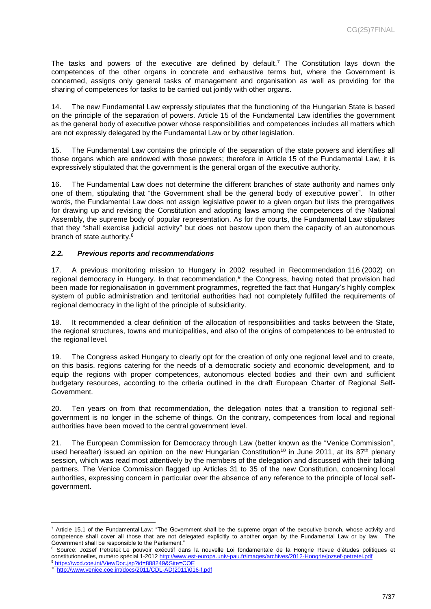The tasks and powers of the executive are defined by default. <sup>7</sup> The Constitution lays down the competences of the other organs in concrete and exhaustive terms but, where the Government is concerned, assigns only general tasks of management and organisation as well as providing for the sharing of competences for tasks to be carried out jointly with other organs.

14. The new Fundamental Law expressly stipulates that the functioning of the Hungarian State is based on the principle of the separation of powers. Article 15 of the Fundamental Law identifies the government as the general body of executive power whose responsibilities and competences includes all matters which are not expressly delegated by the Fundamental Law or by other legislation.

15. The Fundamental Law contains the principle of the separation of the state powers and identifies all those organs which are endowed with those powers; therefore in Article 15 of the Fundamental Law, it is expressively stipulated that the government is the general organ of the executive authority.

16. The Fundamental Law does not determine the different branches of state authority and names only one of them, stipulating that "the Government shall be the general body of executive power". In other words, the Fundamental Law does not assign legislative power to a given organ but lists the prerogatives for drawing up and revising the Constitution and adopting laws among the competences of the National Assembly, the supreme body of popular representation. As for the courts, the Fundamental Law stipulates that they "shall exercise judicial activity" but does not bestow upon them the capacity of an autonomous branch of state authority. 8

## <span id="page-6-0"></span>*2.2. Previous reports and recommendations*

17. A previous monitoring mission to Hungary in 2002 resulted in Recommendation 116 (2002) on regional democracy in Hungary. In that recommendation,<sup>9</sup> the Congress, having noted that provision had been made for regionalisation in government programmes, regretted the fact that Hungary's highly complex system of public administration and territorial authorities had not completely fulfilled the requirements of regional democracy in the light of the principle of subsidiarity.

18. It recommended a clear definition of the allocation of responsibilities and tasks between the State, the regional structures, towns and municipalities, and also of the origins of competences to be entrusted to the regional level.

19. The Congress asked Hungary to clearly opt for the creation of only one regional level and to create, on this basis, regions catering for the needs of a democratic society and economic development, and to equip the regions with proper competences, autonomous elected bodies and their own and sufficient budgetary resources, according to the criteria outlined in the draft European Charter of Regional Self-Government.

20. Ten years on from that recommendation, the delegation notes that a transition to regional selfgovernment is no longer in the scheme of things. On the contrary, competences from local and regional authorities have been moved to the central government level.

21. The European Commission for Democracy through Law (better known as the "Venice Commission", used hereafter) issued an opinion on the new Hungarian Constitution<sup>10</sup> in June 2011, at its 87<sup>th</sup> plenary session, which was read most attentively by the members of the delegation and discussed with their talking partners. The Venice Commission flagged up Articles 31 to 35 of the new Constitution, concerning local authorities, expressing concern in particular over the absence of any reference to the principle of local selfgovernment.

 $7$  Article 15.1 of the Fundamental Law: "The Government shall be the supreme organ of the executive branch, whose activity and competence shall cover all those that are not delegated explicitly to another organ by the Fundamental Law or by law. The Government shall be responsible to the Parliament."

<sup>8</sup> Source: Jozsef Petretei: Le pouvoir exécutif dans la nouvelle Loi fondamentale de la Hongrie Revue d'études politiques et constitutionnelles, numéro spécial 1-2012 <http://www.est-europa.univ-pau.fr/images/archives/2012-Hongrie/jozsef-petretei.pdf>

<sup>9</sup> <https://wcd.coe.int/ViewDoc.jsp?id=888249&Site=COE>

<sup>10</sup> [http://www.venice.coe.int/docs/2011/CDL-AD\(2011\)016-f.pdf](http://www.venice.coe.int/docs/2011/CDL-AD(2011)016-f.pdf)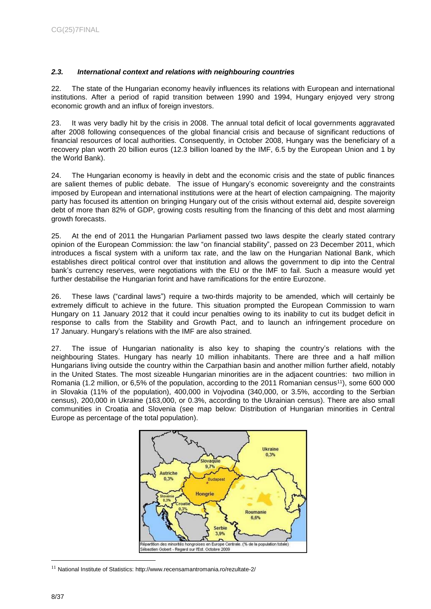## <span id="page-7-0"></span>*2.3. International context and relations with neighbouring countries*

22. The state of the Hungarian economy heavily influences its relations with European and international institutions. After a period of rapid transition between 1990 and 1994, Hungary enjoyed very strong economic growth and an influx of foreign investors.

23. It was very badly hit by the crisis in 2008. The annual total deficit of local governments aggravated after 2008 following consequences of the global financial crisis and because of significant reductions of financial resources of local authorities. Consequently, in October 2008, Hungary was the beneficiary of a recovery plan worth 20 billion euros (12.3 billion loaned by the IMF, 6.5 by the European Union and 1 by the World Bank).

24. The Hungarian economy is heavily in debt and the economic crisis and the state of public finances are salient themes of public debate. The issue of Hungary's economic sovereignty and the constraints imposed by European and international institutions were at the heart of election campaigning. The majority party has focused its attention on bringing Hungary out of the crisis without external aid, despite sovereign debt of more than 82% of GDP, growing costs resulting from the financing of this debt and most alarming growth forecasts.

25. At the end of 2011 the Hungarian Parliament passed two laws despite the clearly stated contrary opinion of the European Commission: the law "on financial stability", passed on 23 December 2011, which introduces a fiscal system with a uniform tax rate, and the law on the Hungarian National Bank, which establishes direct political control over that institution and allows the government to dip into the Central bank's currency reserves, were negotiations with the EU or the IMF to fail. Such a measure would yet further destabilise the Hungarian forint and have ramifications for the entire Eurozone.

26. These laws ("cardinal laws") require a two-thirds majority to be amended, which will certainly be extremely difficult to achieve in the future. This situation prompted the European Commission to warn Hungary on 11 January 2012 that it could incur penalties owing to its inability to cut its budget deficit in response to calls from the Stability and Growth Pact, and to launch an infringement procedure on 17 January. Hungary's relations with the IMF are also strained.

27. The issue of Hungarian nationality is also key to shaping the country's relations with the neighbouring States. Hungary has nearly 10 million inhabitants. There are three and a half million Hungarians living outside the country within the Carpathian basin and another million further afield, notably in the United States. The most sizeable Hungarian minorities are in the adjacent countries: two million in Romania (1.2 million, or 6,5% of the population, according to the 2011 Romanian census<sup>11</sup>), some 600 000 in Slovakia (11% of the population), 400,000 in Vojvodina (340,000, or 3.5%, according to the Serbian census), 200,000 in Ukraine (163,000, or 0.3%, according to the Ukrainian census). There are also small communities in Croatia and Slovenia (see map below: Distribution of Hungarian minorities in Central Europe as percentage of the total population).



 $11$  National Institute of Statistics:<http://www.recensamantromania.ro/rezultate-2/>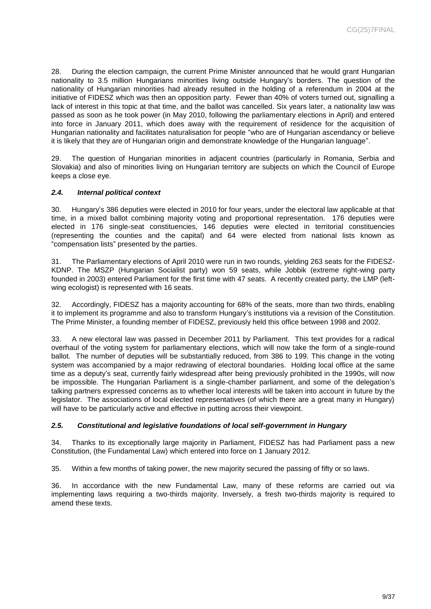28. During the election campaign, the current Prime Minister announced that he would grant Hungarian nationality to 3.5 million Hungarians minorities living outside Hungary's borders. The question of the nationality of Hungarian minorities had already resulted in the holding of a referendum in 2004 at the initiative of FIDESZ which was then an opposition party. Fewer than 40% of voters turned out, signalling a lack of interest in this topic at that time, and the ballot was cancelled. Six years later, a nationality law was passed as soon as he took power (in May 2010, following the parliamentary elections in April) and entered into force in January 2011, which does away with the requirement of residence for the acquisition of Hungarian nationality and facilitates naturalisation for people "who are of Hungarian ascendancy or believe it is likely that they are of Hungarian origin and demonstrate knowledge of the Hungarian language".

29. The question of Hungarian minorities in adjacent countries (particularly in Romania, Serbia and Slovakia) and also of minorities living on Hungarian territory are subjects on which the Council of Europe keeps a close eye.

## <span id="page-8-0"></span>*2.4. Internal political context*

30. Hungary's 386 deputies were elected in 2010 for four years, under the electoral law applicable at that time, in a mixed ballot combining majority voting and proportional representation. 176 deputies were elected in 176 single-seat constituencies, 146 deputies were elected in territorial constituencies (representing the counties and the capital) and 64 were elected from national lists known as "compensation lists" presented by the parties.

31. The Parliamentary elections of April 2010 were run in two rounds, yielding 263 seats for the FIDESZ-KDNP. The MSZP (Hungarian Socialist party) won 59 seats, while Jobbik (extreme right-wing party founded in 2003) entered Parliament for the first time with 47 seats. A recently created party, the LMP (leftwing ecologist) is represented with 16 seats.

32. Accordingly, FIDESZ has a majority accounting for 68% of the seats, more than two thirds, enabling it to implement its programme and also to transform Hungary's institutions via a revision of the Constitution. The Prime Minister, a founding member of FIDESZ, previously held this office between 1998 and 2002.

33. A new electoral law was passed in December 2011 by Parliament. This text provides for a radical overhaul of the voting system for parliamentary elections, which will now take the form of a single-round ballot. The number of deputies will be substantially reduced, from 386 to 199. This change in the voting system was accompanied by a major redrawing of electoral boundaries. Holding local office at the same time as a deputy's seat, currently fairly widespread after being previously prohibited in the 1990s, will now be impossible. The Hungarian Parliament is a single-chamber parliament, and some of the delegation's talking partners expressed concerns as to whether local interests will be taken into account in future by the legislator. The associations of local elected representatives (of which there are a great many in Hungary) will have to be particularly active and effective in putting across their viewpoint.

## <span id="page-8-1"></span>*2.5. Constitutional and legislative foundations of local self-government in Hungary*

34. Thanks to its exceptionally large majority in Parliament, FIDESZ has had Parliament pass a new Constitution, (the Fundamental Law) which entered into force on 1 January 2012.

35. Within a few months of taking power, the new majority secured the passing of fifty or so laws.

36. In accordance with the new Fundamental Law, many of these reforms are carried out via implementing laws requiring a two-thirds majority. Inversely, a fresh two-thirds majority is required to amend these texts.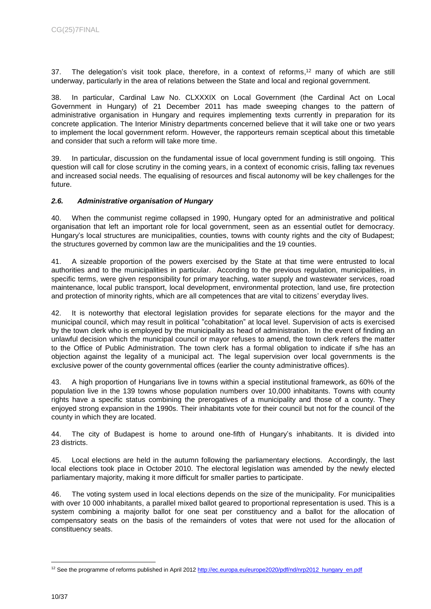37. The delegation's visit took place, therefore, in a context of reforms, <sup>12</sup> many of which are still underway, particularly in the area of relations between the State and local and regional government.

38. In particular, Cardinal Law No. CLXXXIX on Local Government (the Cardinal Act on Local Government in Hungary) of 21 December 2011 has made sweeping changes to the pattern of administrative organisation in Hungary and requires implementing texts currently in preparation for its concrete application. The Interior Ministry departments concerned believe that it will take one or two years to implement the local government reform. However, the rapporteurs remain sceptical about this timetable and consider that such a reform will take more time.

39. In particular, discussion on the fundamental issue of local government funding is still ongoing. This question will call for close scrutiny in the coming years, in a context of economic crisis, falling tax revenues and increased social needs. The equalising of resources and fiscal autonomy will be key challenges for the future.

## <span id="page-9-0"></span>*2.6. Administrative organisation of Hungary*

40. When the communist regime collapsed in 1990, Hungary opted for an administrative and political organisation that left an important role for local government, seen as an essential outlet for democracy. Hungary's local structures are municipalities, counties, towns with county rights and the city of Budapest; the structures governed by common law are the municipalities and the 19 counties.

41. A sizeable proportion of the powers exercised by the State at that time were entrusted to local authorities and to the municipalities in particular. According to the previous regulation, municipalities, in specific terms, were given responsibility for primary teaching, water supply and wastewater services, road maintenance, local public transport, local development, environmental protection, land use, fire protection and protection of minority rights, which are all competences that are vital to citizens' everyday lives.

42. It is noteworthy that electoral legislation provides for separate elections for the mayor and the municipal council, which may result in political "cohabitation" at local level. Supervision of acts is exercised by the town clerk who is employed by the municipality as head of administration. In the event of finding an unlawful decision which the municipal council or mayor refuses to amend, the town clerk refers the matter to the Office of Public Administration. The town clerk has a formal obligation to indicate if s/he has an objection against the legality of a municipal act. The legal supervision over local governments is the exclusive power of the county governmental offices (earlier the county administrative offices).

43. A high proportion of Hungarians live in towns within a special institutional framework, as 60% of the population live in the 139 towns whose population numbers over 10,000 inhabitants. Towns with county rights have a specific status combining the prerogatives of a municipality and those of a county. They enjoyed strong expansion in the 1990s. Their inhabitants vote for their council but not for the council of the county in which they are located.

44. The city of Budapest is home to around one-fifth of Hungary's inhabitants. It is divided into 23 districts.

45. Local elections are held in the autumn following the parliamentary elections. Accordingly, the last local elections took place in October 2010. The electoral legislation was amended by the newly elected parliamentary majority, making it more difficult for smaller parties to participate.

46. The voting system used in local elections depends on the size of the municipality. For municipalities with over 10 000 inhabitants, a parallel mixed ballot geared to proportional representation is used. This is a system combining a majority ballot for one seat per constituency and a ballot for the allocation of compensatory seats on the basis of the remainders of votes that were not used for the allocation of constituency seats.

<sup>&</sup>lt;sup>12</sup> See the programme of reforms published in April 2012 [http://ec.europa.eu/europe2020/pdf/nd/nrp2012\\_hungary\\_en.pdf](http://ec.europa.eu/europe2020/pdf/nd/nrp2012_hungary_en.pdf)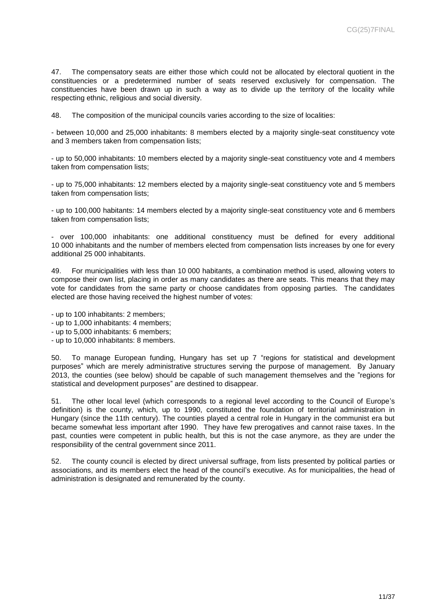47. The compensatory seats are either those which could not be allocated by electoral quotient in the constituencies or a predetermined number of seats reserved exclusively for compensation. The constituencies have been drawn up in such a way as to divide up the territory of the locality while respecting ethnic, religious and social diversity.

48. The composition of the municipal councils varies according to the size of localities:

- between 10,000 and 25,000 inhabitants: 8 members elected by a majority single-seat constituency vote and 3 members taken from compensation lists;

- up to 50,000 inhabitants: 10 members elected by a majority single-seat constituency vote and 4 members taken from compensation lists;

- up to 75,000 inhabitants: 12 members elected by a majority single-seat constituency vote and 5 members taken from compensation lists;

- up to 100,000 habitants: 14 members elected by a majority single-seat constituency vote and 6 members taken from compensation lists;

- over 100,000 inhabitants: one additional constituency must be defined for every additional 10 000 inhabitants and the number of members elected from compensation lists increases by one for every additional 25 000 inhabitants.

49. For municipalities with less than 10 000 habitants, a combination method is used, allowing voters to compose their own list, placing in order as many candidates as there are seats. This means that they may vote for candidates from the same party or choose candidates from opposing parties. The candidates elected are those having received the highest number of votes:

- up to 100 inhabitants: 2 members;
- up to 1,000 inhabitants: 4 members;
- up to 5,000 inhabitants: 6 members;
- up to 10,000 inhabitants: 8 members.

50. To manage European funding, Hungary has set up 7 "regions for statistical and development purposes" which are merely administrative structures serving the purpose of management. By January 2013, the counties (see below) should be capable of such management themselves and the "regions for statistical and development purposes" are destined to disappear.

51. The other local level (which corresponds to a regional level according to the Council of Europe's definition) is the county, which, up to 1990, constituted the foundation of territorial administration in Hungary (since the 11th century). The counties played a central role in Hungary in the communist era but became somewhat less important after 1990. They have few prerogatives and cannot raise taxes. In the past, counties were competent in public health, but this is not the case anymore, as they are under the responsibility of the central government since 2011.

52. The county council is elected by direct universal suffrage, from lists presented by political parties or associations, and its members elect the head of the council's executive. As for municipalities, the head of administration is designated and remunerated by the county.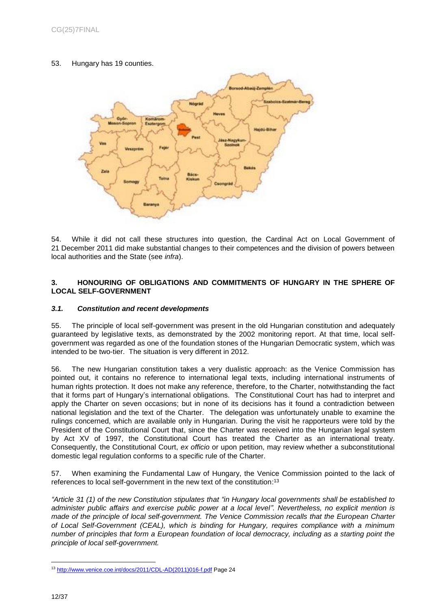53. Hungary has 19 counties.



54. While it did not call these structures into question, the Cardinal Act on Local Government of 21 December 2011 did make substantial changes to their competences and the division of powers between local authorities and the State (see *infra*).

## <span id="page-11-0"></span>**3. HONOURING OF OBLIGATIONS AND COMMITMENTS OF HUNGARY IN THE SPHERE OF LOCAL SELF-GOVERNMENT**

## <span id="page-11-1"></span>*3.1. Constitution and recent developments*

55. The principle of local self-government was present in the old Hungarian constitution and adequately guaranteed by legislative texts, as demonstrated by the 2002 monitoring report. At that time, local selfgovernment was regarded as one of the foundation stones of the Hungarian Democratic system, which was intended to be two-tier. The situation is very different in 2012.

56. The new Hungarian constitution takes a very dualistic approach: as the Venice Commission has pointed out, it contains no reference to international legal texts, including international instruments of human rights protection. It does not make any reference, therefore, to the Charter, notwithstanding the fact that it forms part of Hungary's international obligations. The Constitutional Court has had to interpret and apply the Charter on seven occasions; but in none of its decisions has it found a contradiction between national legislation and the text of the Charter. The delegation was unfortunately unable to examine the rulings concerned, which are available only in Hungarian. During the visit he rapporteurs were told by the President of the Constitutional Court that, since the Charter was received into the Hungarian legal system by Act XV of 1997, the Constitutional Court has treated the Charter as an international treaty. Consequently, the Constitutional Court, *ex officio* or upon petition, may review whether a subconstitutional domestic legal regulation conforms to a specific rule of the Charter.

57. When examining the Fundamental Law of Hungary, the Venice Commission pointed to the lack of references to local self-government in the new text of the constitution:<sup>13</sup>

*"Article 31 (1) of the new Constitution stipulates that "in Hungary local governments shall be established to administer public affairs and exercise public power at a local level". Nevertheless, no explicit mention is made of the principle of local self-government. The Venice Commission recalls that the European Charter of Local Self-Government (CEAL), which is binding for Hungary, requires compliance with a minimum number of principles that form a European foundation of local democracy, including as a starting point the principle of local self-government.*

 $\overline{a}$ <sup>13</sup> [http://www.venice.coe.int/docs/2011/CDL-AD\(2011\)016-f.pdf](http://www.venice.coe.int/docs/2011/CDL-AD(2011)016-f.pdf) Page 24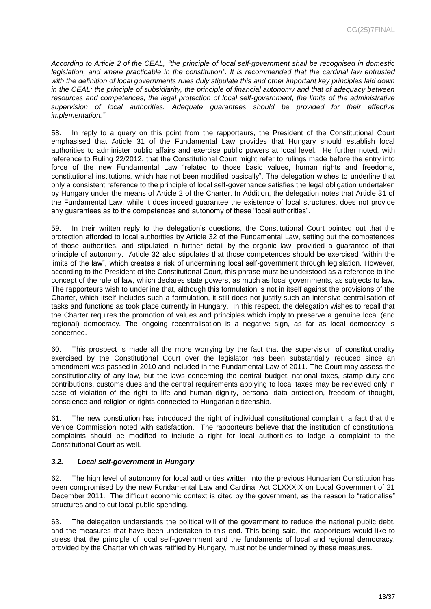*According to Article 2 of the CEAL, "the principle of local self-government shall be recognised in domestic legislation, and where practicable in the constitution". It is recommended that the cardinal law entrusted with the definition of local governments rules duly stipulate this and other important key principles laid down in the CEAL: the principle of subsidiarity, the principle of financial autonomy and that of adequacy between resources and competences, the legal protection of local self-government, the limits of the administrative supervision of local authorities. Adequate guarantees should be provided for their effective implementation."*

58. In reply to a query on this point from the rapporteurs, the President of the Constitutional Court emphasised that Article 31 of the Fundamental Law provides that Hungary should establish local authorities to administer public affairs and exercise public powers at local level. He further noted, with reference to Ruling 22/2012, that the Constitutional Court might refer to rulings made before the entry into force of the new Fundamental Law "related to those basic values, human rights and freedoms, constitutional institutions, which has not been modified basically". The delegation wishes to underline that only a consistent reference to the principle of local self-governance satisfies the legal obligation undertaken by Hungary under the means of Article 2 of the Charter. In Addition, the delegation notes that Article 31 of the Fundamental Law, while it does indeed guarantee the existence of local structures, does not provide any guarantees as to the competences and autonomy of these "local authorities".

59. In their written reply to the delegation's questions, the Constitutional Court pointed out that the protection afforded to local authorities by Article 32 of the Fundamental Law, setting out the competences of those authorities, and stipulated in further detail by the organic law, provided a guarantee of that principle of autonomy. Article 32 also stipulates that those competences should be exercised "within the limits of the law", which creates a risk of undermining local self-government through legislation. However, according to the President of the Constitutional Court, this phrase must be understood as a reference to the concept of the rule of law, which declares state powers, as much as local governments, as subjects to law. The rapporteurs wish to underline that, although this formulation is not in itself against the provisions of the Charter, which itself includes such a formulation, it still does not justify such an intensive centralisation of tasks and functions as took place currently in Hungary. In this respect, the delegation wishes to recall that the Charter requires the promotion of values and principles which imply to preserve a genuine local (and regional) democracy. The ongoing recentralisation is a negative sign, as far as local democracy is concerned.

60. This prospect is made all the more worrying by the fact that the supervision of constitutionality exercised by the Constitutional Court over the legislator has been substantially reduced since an amendment was passed in 2010 and included in the Fundamental Law of 2011. The Court may assess the constitutionality of any law, but the laws concerning the central budget, national taxes, stamp duty and contributions, customs dues and the central requirements applying to local taxes may be reviewed only in case of violation of the right to life and human dignity, personal data protection, freedom of thought, conscience and religion or rights connected to Hungarian citizenship.

61. The new constitution has introduced the right of individual constitutional complaint, a fact that the Venice Commission noted with satisfaction. The rapporteurs believe that the institution of constitutional complaints should be modified to include a right for local authorities to lodge a complaint to the Constitutional Court as well.

## <span id="page-12-0"></span>*3.2. Local self-government in Hungary*

62. The high level of autonomy for local authorities written into the previous Hungarian Constitution has been compromised by the new Fundamental Law and Cardinal Act CLXXXIX on Local Government of 21 December 2011. The difficult economic context is cited by the government, as the reason to "rationalise" structures and to cut local public spending.

63. The delegation understands the political will of the government to reduce the national public debt, and the measures that have been undertaken to this end. This being said, the rapporteurs would like to stress that the principle of local self-government and the fundaments of local and regional democracy, provided by the Charter which was ratified by Hungary, must not be undermined by these measures.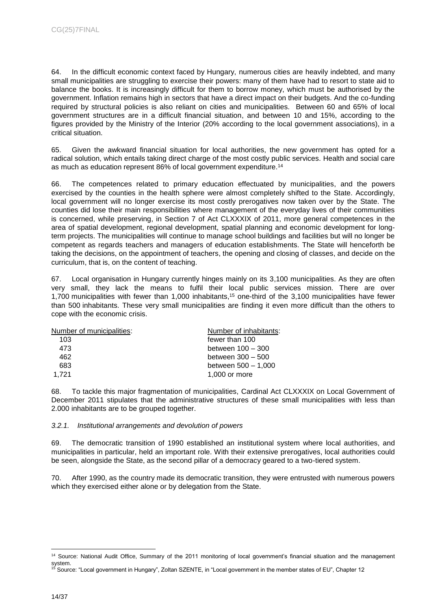64. In the difficult economic context faced by Hungary, numerous cities are heavily indebted, and many small municipalities are struggling to exercise their powers: many of them have had to resort to state aid to balance the books. It is increasingly difficult for them to borrow money, which must be authorised by the government. Inflation remains high in sectors that have a direct impact on their budgets. And the co-funding required by structural policies is also reliant on cities and municipalities. Between 60 and 65% of local government structures are in a difficult financial situation, and between 10 and 15%, according to the figures provided by the Ministry of the Interior (20% according to the local government associations), in a critical situation.

65. Given the awkward financial situation for local authorities, the new government has opted for a radical solution, which entails taking direct charge of the most costly public services. Health and social care as much as education represent 86% of local government expenditure.<sup>14</sup>

66. The competences related to primary education effectuated by municipalities, and the powers exercised by the counties in the health sphere were almost completely shifted to the State. Accordingly, local government will no longer exercise its most costly prerogatives now taken over by the State. The counties did lose their main responsibilities where management of the everyday lives of their communities is concerned, while preserving, in Section 7 of Act CLXXXIX of 2011, more general competences in the area of spatial development, regional development, spatial planning and economic development for longterm projects. The municipalities will continue to manage school buildings and facilities but will no longer be competent as regards teachers and managers of education establishments. The State will henceforth be taking the decisions, on the appointment of teachers, the opening and closing of classes, and decide on the curriculum, that is, on the content of teaching.

67. Local organisation in Hungary currently hinges mainly on its 3,100 municipalities. As they are often very small, they lack the means to fulfil their local public services mission. There are over 1,700 municipalities with fewer than 1,000 inhabitants, <sup>15</sup> one-third of the 3,100 municipalities have fewer than 500 inhabitants. These very small municipalities are finding it even more difficult than the others to cope with the economic crisis.

| Number of municipalities: | Number of inhabitants: |
|---------------------------|------------------------|
| 103                       | fewer than 100         |
| 473                       | between 100 - 300      |
| 462                       | between 300 - 500      |
| 683                       | between 500 - 1,000    |
| 1.721                     | 1,000 or more          |
|                           |                        |

68. To tackle this major fragmentation of municipalities, Cardinal Act CLXXXIX on Local Government of December 2011 stipulates that the administrative structures of these small municipalities with less than 2.000 inhabitants are to be grouped together.

## <span id="page-13-0"></span>*3.2.1. Institutional arrangements and devolution of powers*

69. The democratic transition of 1990 established an institutional system where local authorities, and municipalities in particular, held an important role. With their extensive prerogatives, local authorities could be seen, alongside the State, as the second pillar of a democracy geared to a two-tiered system.

70. After 1990, as the country made its democratic transition, they were entrusted with numerous powers which they exercised either alone or by delegation from the State.

<sup>&</sup>lt;sup>14</sup> Source: National Audit Office, Summary of the 2011 monitoring of local government's financial situation and the management system.

<sup>&</sup>lt;sup>15</sup> Source: "Local government in Hungary", Zoltan SZENTE, in "Local government in the member states of EU", Chapter 12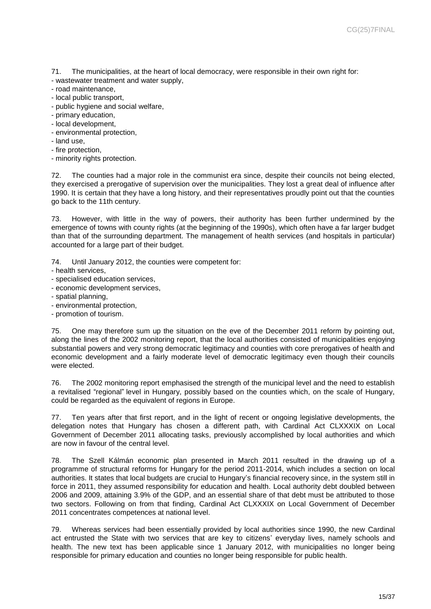71. The municipalities, at the heart of local democracy, were responsible in their own right for:

- wastewater treatment and water supply,
- road maintenance,
- local public transport,
- public hygiene and social welfare,
- primary education,
- local development,
- environmental protection,
- land use,
- fire protection,
- minority rights protection.

72. The counties had a major role in the communist era since, despite their councils not being elected, they exercised a prerogative of supervision over the municipalities. They lost a great deal of influence after 1990. It is certain that they have a long history, and their representatives proudly point out that the counties go back to the 11th century.

73. However, with little in the way of powers, their authority has been further undermined by the emergence of towns with county rights (at the beginning of the 1990s), which often have a far larger budget than that of the surrounding department. The management of health services (and hospitals in particular) accounted for a large part of their budget.

74. Until January 2012, the counties were competent for:

- health services,
- specialised education services,
- economic development services,
- spatial planning,
- environmental protection,
- promotion of tourism.

75. One may therefore sum up the situation on the eve of the December 2011 reform by pointing out, along the lines of the 2002 monitoring report, that the local authorities consisted of municipalities enjoying substantial powers and very strong democratic legitimacy and counties with core prerogatives of health and economic development and a fairly moderate level of democratic legitimacy even though their councils were elected.

76. The 2002 monitoring report emphasised the strength of the municipal level and the need to establish a revitalised "regional" level in Hungary, possibly based on the counties which, on the scale of Hungary, could be regarded as the equivalent of regions in Europe.

77. Ten years after that first report, and in the light of recent or ongoing legislative developments, the delegation notes that Hungary has chosen a different path, with Cardinal Act CLXXXIX on Local Government of December 2011 allocating tasks, previously accomplished by local authorities and which are now in favour of the central level.

78. The Szell Kálmán economic plan presented in March 2011 resulted in the drawing up of a programme of structural reforms for Hungary for the period 2011-2014, which includes a section on local authorities. It states that local budgets are crucial to Hungary's financial recovery since, in the system still in force in 2011, they assumed responsibility for education and health. Local authority debt doubled between 2006 and 2009, attaining 3.9% of the GDP, and an essential share of that debt must be attributed to those two sectors. Following on from that finding, Cardinal Act CLXXXIX on Local Government of December 2011 concentrates competences at national level.

79. Whereas services had been essentially provided by local authorities since 1990, the new Cardinal act entrusted the State with two services that are key to citizens' everyday lives, namely schools and health. The new text has been applicable since 1 January 2012, with municipalities no longer being responsible for primary education and counties no longer being responsible for public health.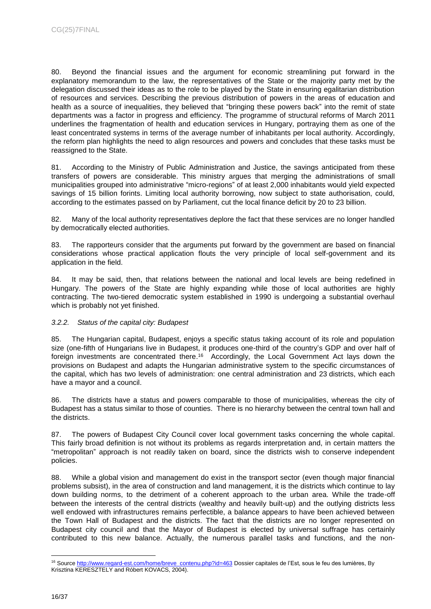80. Beyond the financial issues and the argument for economic streamlining put forward in the explanatory memorandum to the law, the representatives of the State or the majority party met by the delegation discussed their ideas as to the role to be played by the State in ensuring egalitarian distribution of resources and services. Describing the previous distribution of powers in the areas of education and health as a source of inequalities, they believed that "bringing these powers back" into the remit of state departments was a factor in progress and efficiency. The programme of structural reforms of March 2011 underlines the fragmentation of health and education services in Hungary, portraying them as one of the least concentrated systems in terms of the average number of inhabitants per local authority. Accordingly, the reform plan highlights the need to align resources and powers and concludes that these tasks must be reassigned to the State.

81. According to the Ministry of Public Administration and Justice, the savings anticipated from these transfers of powers are considerable. This ministry argues that merging the administrations of small municipalities grouped into administrative "micro-regions" of at least 2,000 inhabitants would yield expected savings of 15 billion forints. Limiting local authority borrowing, now subject to state authorisation, could, according to the estimates passed on by Parliament, cut the local finance deficit by 20 to 23 billion.

82. Many of the local authority representatives deplore the fact that these services are no longer handled by democratically elected authorities.

83. The rapporteurs consider that the arguments put forward by the government are based on financial considerations whose practical application flouts the very principle of local self-government and its application in the field.

84. It may be said, then, that relations between the national and local levels are being redefined in Hungary. The powers of the State are highly expanding while those of local authorities are highly contracting. The two-tiered democratic system established in 1990 is undergoing a substantial overhaul which is probably not yet finished.

## <span id="page-15-0"></span>*3.2.2. Status of the capital city: Budapest*

85. The Hungarian capital, Budapest, enjoys a specific status taking account of its role and population size (one-fifth of Hungarians live in Budapest, it produces one-third of the country's GDP and over half of foreign investments are concentrated there.<sup>16</sup> Accordingly, the Local Government Act lays down the provisions on Budapest and adapts the Hungarian administrative system to the specific circumstances of the capital, which has two levels of administration: one central administration and 23 districts, which each have a mayor and a council.

86. The districts have a status and powers comparable to those of municipalities, whereas the city of Budapest has a status similar to those of counties. There is no hierarchy between the central town hall and the districts.

87. The powers of Budapest City Council cover local government tasks concerning the whole capital. This fairly broad definition is not without its problems as regards interpretation and, in certain matters the "metropolitan" approach is not readily taken on board, since the districts wish to conserve independent policies.

88. While a global vision and management do exist in the transport sector (even though major financial problems subsist), in the area of construction and land management, it is the districts which continue to lay down building norms, to the detriment of a coherent approach to the urban area. While the trade-off between the interests of the central districts (wealthy and heavily built-up) and the outlying districts less well endowed with infrastructures remains perfectible, a balance appears to have been achieved between the Town Hall of Budapest and the districts. The fact that the districts are no longer represented on Budapest city council and that the Mayor of Budapest is elected by universal suffrage has certainly contributed to this new balance. Actually, the numerous parallel tasks and functions, and the non-

<sup>&</sup>lt;sup>16</sup> Sourc[e http://www.regard-est.com/home/breve\\_contenu.php?id=463](http://www.regard-est.com/home/breve_contenu.php?id=463) Dossier capitales de l'Est, sous le feu des lumières, By Krisztina KERESZTELY and Róbert KOVACS, 2004).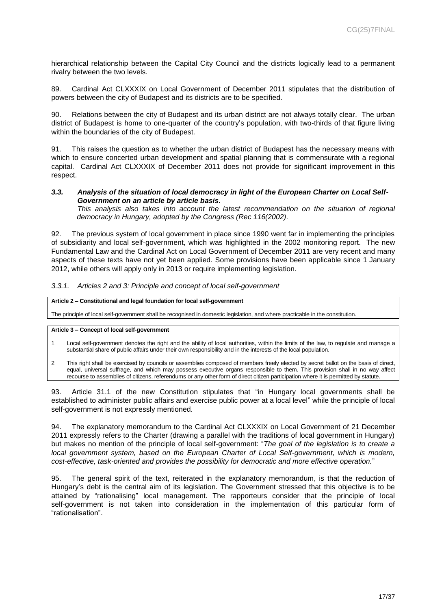hierarchical relationship between the Capital City Council and the districts logically lead to a permanent rivalry between the two levels.

89. Cardinal Act CLXXXIX on Local Government of December 2011 stipulates that the distribution of powers between the city of Budapest and its districts are to be specified.

90. Relations between the city of Budapest and its urban district are not always totally clear. The urban district of Budapest is home to one-quarter of the country's population, with two-thirds of that figure living within the boundaries of the city of Budapest.

91. This raises the question as to whether the urban district of Budapest has the necessary means with which to ensure concerted urban development and spatial planning that is commensurate with a regional capital. Cardinal Act CLXXXIX of December 2011 does not provide for significant improvement in this respect.

## <span id="page-16-0"></span>*3.3. Analysis of the situation of local democracy in light of the European Charter on Local Self-Government on an article by article basis.*

*This analysis also takes into account the latest recommendation on the situation of regional democracy in Hungary, adopted by the Congress (Rec 116(2002).*

92. The previous system of local government in place since 1990 went far in implementing the principles of subsidiarity and local self-government, which was highlighted in the 2002 monitoring report. The new Fundamental Law and the Cardinal Act on Local Government of December 2011 are very recent and many aspects of these texts have not yet been applied. Some provisions have been applicable since 1 January 2012, while others will apply only in 2013 or require implementing legislation.

#### <span id="page-16-1"></span>*3.3.1. Articles 2 and 3: Principle and concept of local self-government*

#### **Article 2 – Constitutional and legal foundation for local self-government**

The principle of local self-government shall be recognised in domestic legislation, and where practicable in the constitution.

#### **Article 3 – Concept of local self-government**

- 1 Local self-government denotes the right and the ability of local authorities, within the limits of the law, to regulate and manage a substantial share of public affairs under their own responsibility and in the interests of the local population.
- 2 This right shall be exercised by councils or assemblies composed of members freely elected by secret ballot on the basis of direct, equal, universal suffrage, and which may possess executive organs responsible to them. This provision shall in no way affect recourse to assemblies of citizens, referendums or any other form of direct citizen participation where it is permitted by statute.

93. Article 31.1 of the new Constitution stipulates that "in Hungary local governments shall be established to administer public affairs and exercise public power at a local level" while the principle of local self-government is not expressly mentioned.

94. The explanatory memorandum to the Cardinal Act CLXXXIX on Local Government of 21 December 2011 expressly refers to the Charter (drawing a parallel with the traditions of local government in Hungary) but makes no mention of the principle of local self-government: "*The goal of the legislation is to create a local government system, based on the European Charter of Local Self-government, which is modern, cost-effective, task-oriented and provides the possibility for democratic and more effective operation.*"

95. The general spirit of the text, reiterated in the explanatory memorandum, is that the reduction of Hungary's debt is the central aim of its legislation. The Government stressed that this objective is to be attained by "rationalising" local management. The rapporteurs consider that the principle of local self-government is not taken into consideration in the implementation of this particular form of "rationalisation".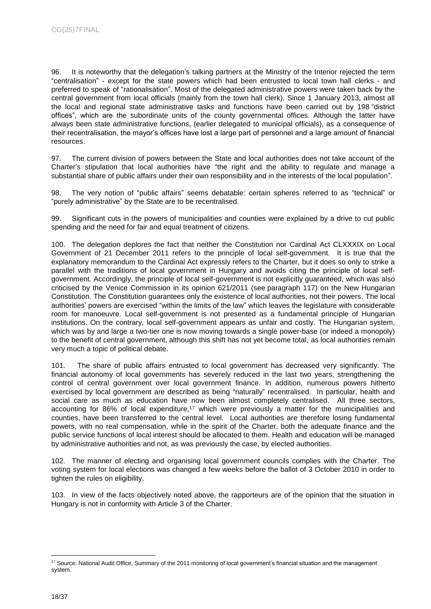96. It is noteworthy that the delegation's talking partners at the Ministry of the Interior rejected the term "centralisation" - except for the state powers which had been entrusted to local town hall clerks - and preferred to speak of "rationalisation". Most of the delegated administrative powers were taken back by the central government from local officials (mainly from the town hall clerk). Since 1 January 2013, almost all the local and regional state administrative tasks and functions have been carried out by 198 "district offices", which are the subordinate units of the county governmental offices. Although the latter have always been state administrative functions, (earlier delegated to municipal officials), as a consequence of their recentralisation, the mayor's offices have lost a large part of personnel and a large amount of financial resources.

97. The current division of powers between the State and local authorities does not take account of the Charter's stipulation that local authorities have "the right and the ability to regulate and manage a substantial share of public affairs under their own responsibility and in the interests of the local population".

98. The very notion of "public affairs" seems debatable: certain spheres referred to as "technical" or "purely administrative" by the State are to be recentralised.

99. Significant cuts in the powers of municipalities and counties were explained by a drive to cut public spending and the need for fair and equal treatment of citizens.

100. The delegation deplores the fact that neither the Constitution nor Cardinal Act CLXXXIX on Local Government of 21 December 2011 refers to the principle of local self-government. It is true that the explanatory memorandum to the Cardinal Act expressly refers to the Charter, but it does so only to strike a parallel with the traditions of local government in Hungary and avoids citing the principle of local selfgovernment. Accordingly, the principle of local self-government is not explicitly guaranteed, which was also criticised by the Venice Commission in its opinion 621/2011 (see paragraph 117) on the New Hungarian Constitution. The Constitution guarantees only the existence of local authorities, not their powers. The local authorities' powers are exercised "within the limits of the law" which leaves the legislature with considerable room for manoeuvre. Local self-government is not presented as a fundamental principle of Hungarian institutions. On the contrary, local self-government appears as unfair and costly. The Hungarian system, which was by and large a two-tier one is now moving towards a single power-base (or indeed a monopoly) to the benefit of central government, although this shift has not yet become total, as local authorities remain very much a topic of political debate.

101. The share of public affairs entrusted to local government has decreased very significantly. The financial autonomy of local governments has severely reduced in the last two years, strengthening the control of central government over local government finance. In addition, numerous powers hitherto exercised by local government are described as being "naturally" recentralised. In particular, health and social care as much as education have now been almost completely centralised. All three sectors, accounting for 86% of local expenditure,<sup>17</sup> which were previously a matter for the municipalities and counties, have been transferred to the central level. Local authorities are therefore losing fundamental powers, with no real compensation, while in the spirit of the Charter, both the adequate finance and the public service functions of local interest should be allocated to them. Health and education will be managed by administrative authorities and not, as was previously the case, by elected authorities.

102. The manner of electing and organising local government councils complies with the Charter. The voting system for local elections was changed a few weeks before the ballot of 3 October 2010 in order to tighten the rules on eligibility.

103. In view of the facts objectively noted above, the rapporteurs are of the opinion that the situation in Hungary is not in conformity with Article 3 of the Charter.

<sup>17</sup> Source: National Audit Office, Summary of the 2011 monitoring of local government's financial situation and the management system.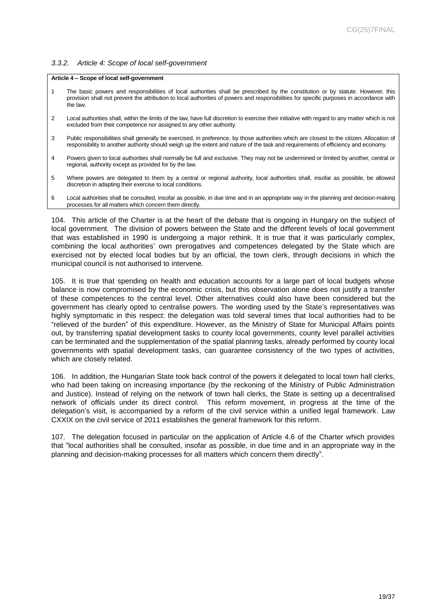#### <span id="page-18-0"></span>*3.3.2. Article 4: Scope of local self-government*

#### **Article 4 – Scope of local self-government**

- 1 The basic powers and responsibilities of local authorities shall be prescribed by the constitution or by statute. However, this provision shall not prevent the attribution to local authorities of powers and responsibilities for specific purposes in accordance with the law.
- 2 Local authorities shall, within the limits of the law, have full discretion to exercise their initiative with regard to any matter which is not excluded from their competence nor assigned to any other authority.
- 3 Public responsibilities shall generally be exercised, in preference, by those authorities which are closest to the citizen. Allocation of responsibility to another authority should weigh up the extent and nature of the task and requirements of efficiency and economy.
- 4 Powers given to local authorities shall normally be full and exclusive. They may not be undermined or limited by another, central or regional, authority except as provided for by the law.
- 5 Where powers are delegated to them by a central or regional authority, local authorities shall, insofar as possible, be allowed discretion in adapting their exercise to local conditions.
- 6 Local authorities shall be consulted, insofar as possible, in due time and in an appropriate way in the planning and decision-making processes for all matters which concern them directly.

104. This article of the Charter is at the heart of the debate that is ongoing in Hungary on the subject of local government. The division of powers between the State and the different levels of local government that was established in 1990 is undergoing a major rethink. It is true that it was particularly complex, combining the local authorities' own prerogatives and competences delegated by the State which are exercised not by elected local bodies but by an official, the town clerk, through decisions in which the municipal council is not authorised to intervene.

105. It is true that spending on health and education accounts for a large part of local budgets whose balance is now compromised by the economic crisis, but this observation alone does not justify a transfer of these competences to the central level. Other alternatives could also have been considered but the government has clearly opted to centralise powers. The wording used by the State's representatives was highly symptomatic in this respect: the delegation was told several times that local authorities had to be "relieved of the burden" of this expenditure. However, as the Ministry of State for Municipal Affairs points out, by transferring spatial development tasks to county local governments, county level parallel activities can be terminated and the supplementation of the spatial planning tasks, already performed by county local governments with spatial development tasks, can guarantee consistency of the two types of activities, which are closely related.

106. In addition, the Hungarian State took back control of the powers it delegated to local town hall clerks, who had been taking on increasing importance (by the reckoning of the Ministry of Public Administration and Justice). Instead of relying on the network of town hall clerks, the State is setting up a decentralised network of officials under its direct control. This reform movement, in progress at the time of the delegation's visit, is accompanied by a reform of the civil service within a unified legal framework. Law CXXIX on the civil service of 2011 establishes the general framework for this reform.

107. The delegation focused in particular on the application of Article 4.6 of the Charter which provides that "local authorities shall be consulted, insofar as possible, in due time and in an appropriate way in the planning and decision-making processes for all matters which concern them directly".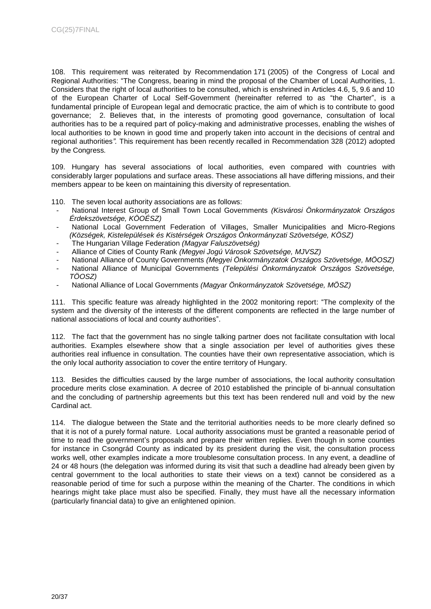108. This requirement was reiterated by Recommendation 171 (2005) of the Congress of Local and Regional Authorities: "The Congress, bearing in mind the proposal of the Chamber of Local Authorities, 1. Considers that the right of local authorities to be consulted, which is enshrined in Articles 4.6, 5, 9.6 and 10 of the European Charter of Local Self-Government (hereinafter referred to as "the Charter", is a fundamental principle of European legal and democratic practice, the aim of which is to contribute to good governance; 2. Believes that, in the interests of promoting good governance, consultation of local authorities has to be a required part of policy-making and administrative processes, enabling the wishes of local authorities to be known in good time and properly taken into account in the decisions of central and regional authorities*".* This requirement has been recently recalled in Recommendation 328 (2012) adopted by the Congress*.*

109. Hungary has several associations of local authorities, even compared with countries with considerably larger populations and surface areas. These associations all have differing missions, and their members appear to be keen on maintaining this diversity of representation.

- 110. The seven local authority associations are as follows:
- National Interest Group of Small Town Local Governments *(Kisvárosi Önkormányzatok Országos Érdekszövetsége, KÖOÉSZ)*
- National Local Government Federation of Villages, Smaller Municipalities and Micro-Regions *(Községek, Kistelepülések és Kistérségek Országos Önkormányzati Szövetsége, KÖSZ)*
- The Hungarian Village Federation *(Magyar Faluszövetség)*
- Alliance of Cities of County Rank *(Megyei Jogú Városok Szövetsége, MJVSZ)*
- National Alliance of County Governments *(Megyei Önkormányzatok Országos Szövetsége, MÖOSZ)*
- National Alliance of Municipal Governments *(Települési Önkormányzatok Országos Szövetsége, TÖOSZ)*
- National Alliance of Local Governments *(Magyar Önkormányzatok Szövetsége, MÖSZ)*

111. This specific feature was already highlighted in the 2002 monitoring report: "The complexity of the system and the diversity of the interests of the different components are reflected in the large number of national associations of local and county authorities".

112. The fact that the government has no single talking partner does not facilitate consultation with local authorities. Examples elsewhere show that a single association per level of authorities gives these authorities real influence in consultation. The counties have their own representative association, which is the only local authority association to cover the entire territory of Hungary.

113. Besides the difficulties caused by the large number of associations, the local authority consultation procedure merits close examination. A decree of 2010 established the principle of bi-annual consultation and the concluding of partnership agreements but this text has been rendered null and void by the new Cardinal act.

114. The dialogue between the State and the territorial authorities needs to be more clearly defined so that it is not of a purely formal nature. Local authority associations must be granted a reasonable period of time to read the government's proposals and prepare their written replies. Even though in some counties for instance in Csongrád County as indicated by its president during the visit, the consultation process works well, other examples indicate a more troublesome consultation process. In any event, a deadline of 24 or 48 hours (the delegation was informed during its visit that such a deadline had already been given by central government to the local authorities to state their views on a text) cannot be considered as a reasonable period of time for such a purpose within the meaning of the Charter. The conditions in which hearings might take place must also be specified. Finally, they must have all the necessary information (particularly financial data) to give an enlightened opinion.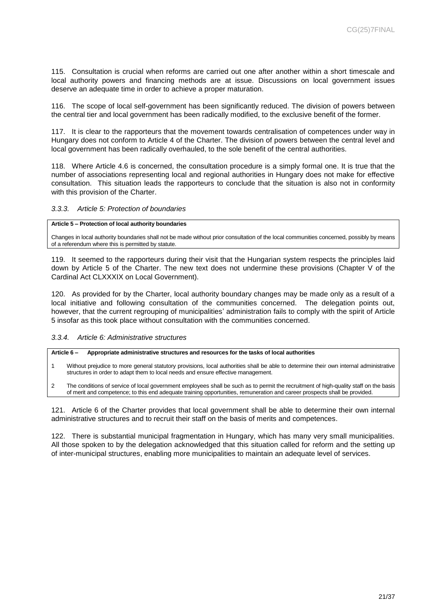115. Consultation is crucial when reforms are carried out one after another within a short timescale and local authority powers and financing methods are at issue. Discussions on local government issues deserve an adequate time in order to achieve a proper maturation.

116. The scope of local self-government has been significantly reduced. The division of powers between the central tier and local government has been radically modified, to the exclusive benefit of the former.

117. It is clear to the rapporteurs that the movement towards centralisation of competences under way in Hungary does not conform to Article 4 of the Charter. The division of powers between the central level and local government has been radically overhauled, to the sole benefit of the central authorities.

118. Where Article 4.6 is concerned, the consultation procedure is a simply formal one. It is true that the number of associations representing local and regional authorities in Hungary does not make for effective consultation. This situation leads the rapporteurs to conclude that the situation is also not in conformity with this provision of the Charter.

#### <span id="page-20-0"></span>*3.3.3. Article 5: Protection of boundaries*

#### **Article 5 – Protection of local authority boundaries**

Changes in local authority boundaries shall not be made without prior consultation of the local communities concerned, possibly by means of a referendum where this is permitted by statute.

119. It seemed to the rapporteurs during their visit that the Hungarian system respects the principles laid down by Article 5 of the Charter. The new text does not undermine these provisions (Chapter V of the Cardinal Act CLXXXIX on Local Government).

120. As provided for by the Charter, local authority boundary changes may be made only as a result of a local initiative and following consultation of the communities concerned. The delegation points out, however, that the current regrouping of municipalities' administration fails to comply with the spirit of Article 5 insofar as this took place without consultation with the communities concerned.

#### <span id="page-20-1"></span>*3.3.4. Article 6: Administrative structures*

**Article 6 – Appropriate administrative structures and resources for the tasks of local authorities**

- 1 Without prejudice to more general statutory provisions, local authorities shall be able to determine their own internal administrative structures in order to adapt them to local needs and ensure effective management.
- 2 The conditions of service of local government employees shall be such as to permit the recruitment of high-quality staff on the basis of merit and competence; to this end adequate training opportunities, remuneration and career prospects shall be provided.

121. Article 6 of the Charter provides that local government shall be able to determine their own internal administrative structures and to recruit their staff on the basis of merits and competences.

122. There is substantial municipal fragmentation in Hungary, which has many very small municipalities. All those spoken to by the delegation acknowledged that this situation called for reform and the setting up of inter-municipal structures, enabling more municipalities to maintain an adequate level of services.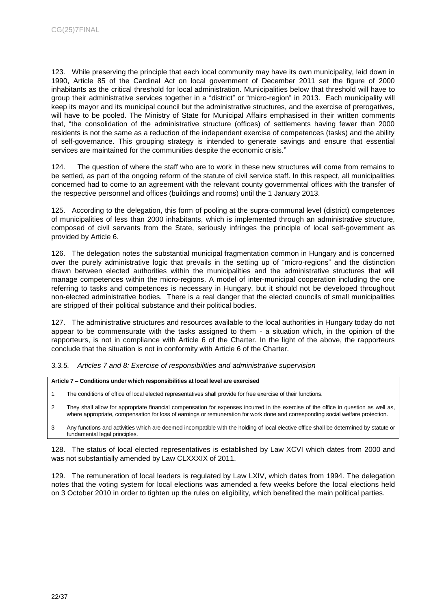123. While preserving the principle that each local community may have its own municipality, laid down in 1990, Article 85 of the Cardinal Act on local government of December 2011 set the figure of 2000 inhabitants as the critical threshold for local administration. Municipalities below that threshold will have to group their administrative services together in a "district" or "micro-region" in 2013. Each municipality will keep its mayor and its municipal council but the administrative structures, and the exercise of prerogatives, will have to be pooled. The Ministry of State for Municipal Affairs emphasised in their written comments that, "the consolidation of the administrative structure (offices) of settlements having fewer than 2000 residents is not the same as a reduction of the independent exercise of competences (tasks) and the ability of self-governance. This grouping strategy is intended to generate savings and ensure that essential services are maintained for the communities despite the economic crisis."

124. The question of where the staff who are to work in these new structures will come from remains to be settled, as part of the ongoing reform of the statute of civil service staff. In this respect, all municipalities concerned had to come to an agreement with the relevant county governmental offices with the transfer of the respective personnel and offices (buildings and rooms) until the 1 January 2013.

125. According to the delegation, this form of pooling at the supra-communal level (district) competences of municipalities of less than 2000 inhabitants, which is implemented through an administrative structure, composed of civil servants from the State, seriously infringes the principle of local self-government as provided by Article 6.

126. The delegation notes the substantial municipal fragmentation common in Hungary and is concerned over the purely administrative logic that prevails in the setting up of "micro-regions" and the distinction drawn between elected authorities within the municipalities and the administrative structures that will manage competences within the micro-regions. A model of inter-municipal cooperation including the one referring to tasks and competences is necessary in Hungary, but it should not be developed throughout non-elected administrative bodies. There is a real danger that the elected councils of small municipalities are stripped of their political substance and their political bodies.

127. The administrative structures and resources available to the local authorities in Hungary today do not appear to be commensurate with the tasks assigned to them - a situation which, in the opinion of the rapporteurs, is not in compliance with Article 6 of the Charter. In the light of the above, the rapporteurs conclude that the situation is not in conformity with Article 6 of the Charter.

<span id="page-21-0"></span>*3.3.5. Articles 7 and 8: Exercise of responsibilities and administrative supervision* 

**Article 7 – Conditions under which responsibilities at local level are exercised**

- 1 The conditions of office of local elected representatives shall provide for free exercise of their functions.
- 2 They shall allow for appropriate financial compensation for expenses incurred in the exercise of the office in question as well as, where appropriate, compensation for loss of earnings or remuneration for work done and corresponding social welfare protection.
- 3 Any functions and activities which are deemed incompatible with the holding of local elective office shall be determined by statute or fundamental legal principles.

128. The status of local elected representatives is established by Law XCVI which dates from 2000 and was not substantially amended by Law CLXXXIX of 2011.

129. The remuneration of local leaders is regulated by Law LXIV, which dates from 1994. The delegation notes that the voting system for local elections was amended a few weeks before the local elections held on 3 October 2010 in order to tighten up the rules on eligibility, which benefited the main political parties.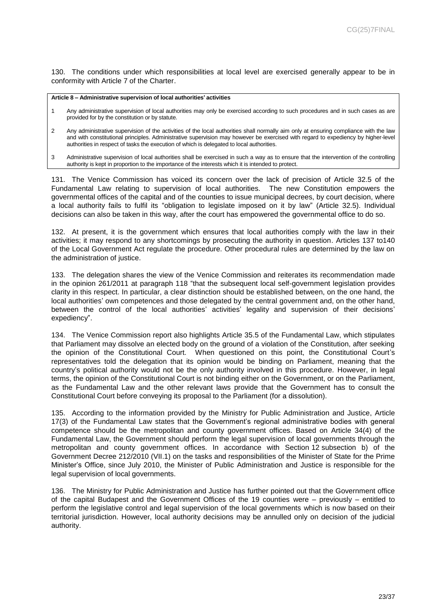130. The conditions under which responsibilities at local level are exercised generally appear to be in conformity with Article 7 of the Charter.

#### **Article 8 – Administrative supervision of local authorities' activities**

- 1 Any administrative supervision of local authorities may only be exercised according to such procedures and in such cases as are provided for by the constitution or by statute.
- 2 Any administrative supervision of the activities of the local authorities shall normally aim only at ensuring compliance with the law and with constitutional principles. Administrative supervision may however be exercised with regard to expediency by higher-level authorities in respect of tasks the execution of which is delegated to local authorities.
- 3 Administrative supervision of local authorities shall be exercised in such a way as to ensure that the intervention of the controlling authority is kept in proportion to the importance of the interests which it is intended to protect.

131. The Venice Commission has voiced its concern over the lack of precision of Article 32.5 of the Fundamental Law relating to supervision of local authorities. The new Constitution empowers the governmental offices of the capital and of the counties to issue municipal decrees, by court decision, where a local authority fails to fulfil its "obligation to legislate imposed on it by law" (Article 32.5). Individual decisions can also be taken in this way, after the court has empowered the governmental office to do so.

132. At present, it is the government which ensures that local authorities comply with the law in their activities; it may respond to any shortcomings by prosecuting the authority in question. Articles 137 to140 of the Local Government Act regulate the procedure. Other procedural rules are determined by the law on the administration of justice.

133. The delegation shares the view of the Venice Commission and reiterates its recommendation made in the opinion 261/2011 at paragraph 118 "that the subsequent local self-government legislation provides clarity in this respect. In particular, a clear distinction should be established between, on the one hand, the local authorities' own competences and those delegated by the central government and, on the other hand, between the control of the local authorities' activities' legality and supervision of their decisions' expediency".

134. The Venice Commission report also highlights Article 35.5 of the Fundamental Law, which stipulates that Parliament may dissolve an elected body on the ground of a violation of the Constitution, after seeking the opinion of the Constitutional Court. When questioned on this point, the Constitutional Court's representatives told the delegation that its opinion would be binding on Parliament, meaning that the country's political authority would not be the only authority involved in this procedure. However, in legal terms, the opinion of the Constitutional Court is not binding either on the Government, or on the Parliament, as the Fundamental Law and the other relevant laws provide that the Government has to consult the Constitutional Court before conveying its proposal to the Parliament (for a dissolution).

135. According to the information provided by the Ministry for Public Administration and Justice, Article 17(3) of the Fundamental Law states that the Government's regional administrative bodies with general competence should be the metropolitan and county government offices. Based on Article 34(4) of the Fundamental Law, the Government should perform the legal supervision of local governments through the metropolitan and county government offices. In accordance with Section 12 subsection b) of the Government Decree 212/2010 (VII.1) on the tasks and responsibilities of the Minister of State for the Prime Minister's Office, since July 2010, the Minister of Public Administration and Justice is responsible for the legal supervision of local governments.

136. The Ministry for Public Administration and Justice has further pointed out that the Government office of the capital Budapest and the Government Offices of the 19 counties were – previously – entitled to perform the legislative control and legal supervision of the local governments which is now based on their territorial jurisdiction. However, local authority decisions may be annulled only on decision of the judicial authority.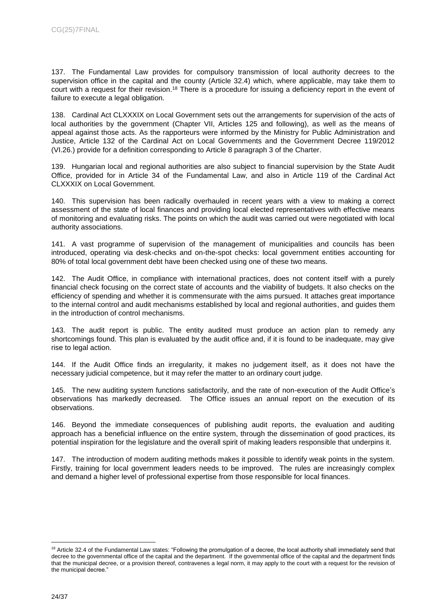137. The Fundamental Law provides for compulsory transmission of local authority decrees to the supervision office in the capital and the county (Article 32.4) which, where applicable, may take them to court with a request for their revision.<sup>18</sup> There is a procedure for issuing a deficiency report in the event of failure to execute a legal obligation.

138. Cardinal Act CLXXXIX on Local Government sets out the arrangements for supervision of the acts of local authorities by the government (Chapter VII, Articles 125 and following), as well as the means of appeal against those acts. As the rapporteurs were informed by the Ministry for Public Administration and Justice, Article 132 of the Cardinal Act on Local Governments and the Government Decree 119/2012 (VI.26.) provide for a definition corresponding to Article 8 paragraph 3 of the Charter.

139. Hungarian local and regional authorities are also subject to financial supervision by the State Audit Office, provided for in Article 34 of the Fundamental Law, and also in Article 119 of the Cardinal Act CLXXXIX on Local Government.

140. This supervision has been radically overhauled in recent years with a view to making a correct assessment of the state of local finances and providing local elected representatives with effective means of monitoring and evaluating risks. The points on which the audit was carried out were negotiated with local authority associations.

141. A vast programme of supervision of the management of municipalities and councils has been introduced, operating via desk-checks and on-the-spot checks: local government entities accounting for 80% of total local government debt have been checked using one of these two means.

142. The Audit Office, in compliance with international practices, does not content itself with a purely financial check focusing on the correct state of accounts and the viability of budgets. It also checks on the efficiency of spending and whether it is commensurate with the aims pursued. It attaches great importance to the internal control and audit mechanisms established by local and regional authorities, and guides them in the introduction of control mechanisms.

143. The audit report is public. The entity audited must produce an action plan to remedy any shortcomings found. This plan is evaluated by the audit office and, if it is found to be inadequate, may give rise to legal action.

144. If the Audit Office finds an irregularity, it makes no judgement itself, as it does not have the necessary judicial competence, but it may refer the matter to an ordinary court judge.

145. The new auditing system functions satisfactorily, and the rate of non-execution of the Audit Office's observations has markedly decreased. The Office issues an annual report on the execution of its observations.

146. Beyond the immediate consequences of publishing audit reports, the evaluation and auditing approach has a beneficial influence on the entire system, through the dissemination of good practices, its potential inspiration for the legislature and the overall spirit of making leaders responsible that underpins it.

147. The introduction of modern auditing methods makes it possible to identify weak points in the system. Firstly, training for local government leaders needs to be improved. The rules are increasingly complex and demand a higher level of professional expertise from those responsible for local finances.

<sup>&</sup>lt;sup>18</sup> Article 32.4 of the Fundamental Law states: "Following the promulgation of a decree, the local authority shall immediately send that decree to the governmental office of the capital and the department. If the governmental office of the capital and the department finds that the municipal decree, or a provision thereof, contravenes a legal norm, it may apply to the court with a request for the revision of the municipal decree."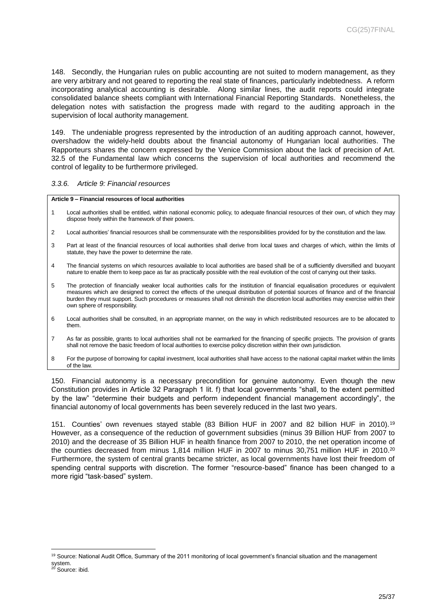148. Secondly, the Hungarian rules on public accounting are not suited to modern management, as they are very arbitrary and not geared to reporting the real state of finances, particularly indebtedness. A reform incorporating analytical accounting is desirable. Along similar lines, the audit reports could integrate consolidated balance sheets compliant with International Financial Reporting Standards. Nonetheless, the delegation notes with satisfaction the progress made with regard to the auditing approach in the supervision of local authority management.

149. The undeniable progress represented by the introduction of an auditing approach cannot, however, overshadow the widely-held doubts about the financial autonomy of Hungarian local authorities. The Rapporteurs shares the concern expressed by the Venice Commission about the lack of precision of Art. 32.5 of the Fundamental law which concerns the supervision of local authorities and recommend the control of legality to be furthermore privileged.

#### <span id="page-24-0"></span>*3.3.6. Article 9: Financial resources*

 $\overline{a}$ 

#### **Article 9 – Financial resources of local authorities**

- 1 Local authorities shall be entitled, within national economic policy, to adequate financial resources of their own, of which they may dispose freely within the framework of their powers.
- 2 Local authorities' financial resources shall be commensurate with the responsibilities provided for by the constitution and the law.
- 3 Part at least of the financial resources of local authorities shall derive from local taxes and charges of which, within the limits of statute, they have the power to determine the rate.
- 4 The financial systems on which resources available to local authorities are based shall be of a sufficiently diversified and buoyant nature to enable them to keep pace as far as practically possible with the real evolution of the cost of carrying out their tasks.
- 5 The protection of financially weaker local authorities calls for the institution of financial equalisation procedures or equivalent measures which are designed to correct the effects of the unequal distribution of potential sources of finance and of the financial burden they must support. Such procedures or measures shall not diminish the discretion local authorities may exercise within their own sphere of responsibility.
- 6 Local authorities shall be consulted, in an appropriate manner, on the way in which redistributed resources are to be allocated to them.
- 7 As far as possible, grants to local authorities shall not be earmarked for the financing of specific projects. The provision of grants shall not remove the basic freedom of local authorities to exercise policy discretion within their own jurisdiction.
- 8 For the purpose of borrowing for capital investment, local authorities shall have access to the national capital market within the limits of the law.

150. Financial autonomy is a necessary precondition for genuine autonomy. Even though the new Constitution provides in Article 32 Paragraph 1 lit. f) that local governments "shall, to the extent permitted by the law" "determine their budgets and perform independent financial management accordingly", the financial autonomy of local governments has been severely reduced in the last two years.

151. Counties' own revenues stayed stable (83 Billion HUF in 2007 and 82 billion HUF in 2010).<sup>19</sup> However, as a consequence of the reduction of government subsidies (minus 39 Billion HUF from 2007 to 2010) and the decrease of 35 Billion HUF in health finance from 2007 to 2010, the net operation income of the counties decreased from minus 1,814 million HUF in 2007 to minus 30,751 million HUF in 2010.<sup>20</sup> Furthermore, the system of central grants became stricter, as local governments have lost their freedom of spending central supports with discretion. The former "resource-based" finance has been changed to a more rigid "task-based" system.

<sup>&</sup>lt;sup>19</sup> Source: National Audit Office, Summary of the 2011 monitoring of local government's financial situation and the management system. <sup>20</sup> Source: ibid.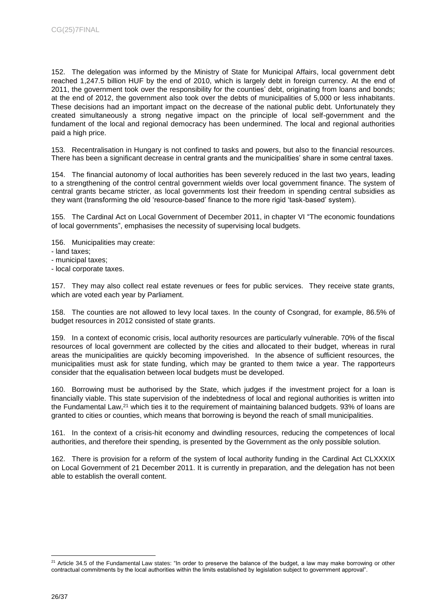152. The delegation was informed by the Ministry of State for Municipal Affairs, local government debt reached 1,247.5 billion HUF by the end of 2010, which is largely debt in foreign currency. At the end of 2011, the government took over the responsibility for the counties' debt, originating from loans and bonds; at the end of 2012, the government also took over the debts of municipalities of 5,000 or less inhabitants. These decisions had an important impact on the decrease of the national public debt. Unfortunately they created simultaneously a strong negative impact on the principle of local self-government and the fundament of the local and regional democracy has been undermined. The local and regional authorities paid a high price.

153. Recentralisation in Hungary is not confined to tasks and powers, but also to the financial resources. There has been a significant decrease in central grants and the municipalities' share in some central taxes.

154. The financial autonomy of local authorities has been severely reduced in the last two years, leading to a strengthening of the control central government wields over local government finance. The system of central grants became stricter, as local governments lost their freedom in spending central subsidies as they want (transforming the old 'resource-based' finance to the more rigid 'task-based' system).

155. The Cardinal Act on Local Government of December 2011, in chapter VI "The economic foundations of local governments", emphasises the necessity of supervising local budgets.

- 156. Municipalities may create:
- land taxes;
- municipal taxes;
- local corporate taxes.

157. They may also collect real estate revenues or fees for public services. They receive state grants, which are voted each year by Parliament.

158. The counties are not allowed to levy local taxes. In the county of Csongrad, for example, 86.5% of budget resources in 2012 consisted of state grants.

159. In a context of economic crisis, local authority resources are particularly vulnerable. 70% of the fiscal resources of local government are collected by the cities and allocated to their budget, whereas in rural areas the municipalities are quickly becoming impoverished. In the absence of sufficient resources, the municipalities must ask for state funding, which may be granted to them twice a year. The rapporteurs consider that the equalisation between local budgets must be developed.

160. Borrowing must be authorised by the State, which judges if the investment project for a loan is financially viable. This state supervision of the indebtedness of local and regional authorities is written into the Fundamental Law,<sup>21</sup> which ties it to the requirement of maintaining balanced budgets. 93% of loans are granted to cities or counties, which means that borrowing is beyond the reach of small municipalities.

161. In the context of a crisis-hit economy and dwindling resources, reducing the competences of local authorities, and therefore their spending, is presented by the Government as the only possible solution.

162. There is provision for a reform of the system of local authority funding in the Cardinal Act CLXXXIX on Local Government of 21 December 2011. It is currently in preparation, and the delegation has not been able to establish the overall content.

<sup>&</sup>lt;sup>21</sup> Article 34.5 of the Fundamental Law states: "In order to preserve the balance of the budget, a law may make borrowing or other contractual commitments by the local authorities within the limits established by legislation subject to government approval".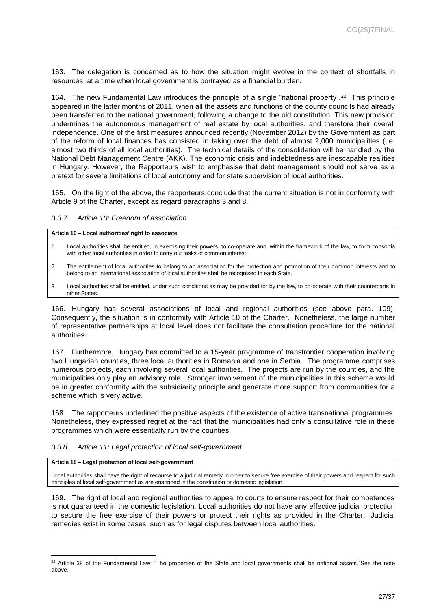163. The delegation is concerned as to how the situation might evolve in the context of shortfalls in resources, at a time when local government is portrayed as a financial burden.

164. The new Fundamental Law introduces the principle of a single "national property".<sup>22</sup> This principle appeared in the latter months of 2011, when all the assets and functions of the county councils had already been transferred to the national government, following a change to the old constitution. This new provision undermines the autonomous management of real estate by local authorities, and therefore their overall independence. One of the first measures announced recently (November 2012) by the Government as part of the reform of local finances has consisted in taking over the debt of almost 2,000 municipalities (i.e. almost two thirds of all local authorities). The technical details of the consolidation will be handled by the National Debt Management Centre (AKK). The economic crisis and indebtedness are inescapable realities in Hungary. However, the Rapporteurs wish to emphasise that debt management should not serve as a pretext for severe limitations of local autonomy and for state supervision of local authorities.

165. On the light of the above, the rapporteurs conclude that the current situation is not in conformity with Article 9 of the Charter, except as regard paragraphs 3 and 8.

#### <span id="page-26-0"></span>*3.3.7. Article 10: Freedom of association*

**Article 10 – Local authorities' right to associate**

- 1 Local authorities shall be entitled, in exercising their powers, to co-operate and, within the framework of the law, to form consortia with other local authorities in order to carry out tasks of common interest.
- 2 The entitlement of local authorities to belong to an association for the protection and promotion of their common interests and to belong to an international association of local authorities shall be recognised in each State.
- 3 Local authorities shall be entitled, under such conditions as may be provided for by the law, to co-operate with their counterparts in other States.

166. Hungary has several associations of local and regional authorities (see above para. 109). Consequently, the situation is in conformity with Article 10 of the Charter. Nonetheless, the large number of representative partnerships at local level does not facilitate the consultation procedure for the national authorities.

167. Furthermore, Hungary has committed to a 15-year programme of transfrontier cooperation involving two Hungarian counties, three local authorities in Romania and one in Serbia. The programme comprises numerous projects, each involving several local authorities. The projects are run by the counties, and the municipalities only play an advisory role. Stronger involvement of the municipalities in this scheme would be in greater conformity with the subsidiarity principle and generate more support from communities for a scheme which is very active.

168. The rapporteurs underlined the positive aspects of the existence of active transnational programmes. Nonetheless, they expressed regret at the fact that the municipalities had only a consultative role in these programmes which were essentially run by the counties.

#### <span id="page-26-1"></span>*3.3.8. Article 11: Legal protection of local self-government*

#### **Article 11 – Legal protection of local self-government**

Local authorities shall have the right of recourse to a judicial remedy in order to secure free exercise of their powers and respect for such principles of local self-government as are enshrined in the constitution or domestic legislation.

169. The right of local and regional authorities to appeal to courts to ensure respect for their competences is not guaranteed in the domestic legislation. Local authorities do not have any effective judicial protection to secure the free exercise of their powers or protect their rights as provided in the Charter. Judicial remedies exist in some cases, such as for legal disputes between local authorities.

 $\overline{a}$ <sup>22</sup> Article 38 of the Fundamental Law: "The properties of the State and local governments shall be national assets."See the note above.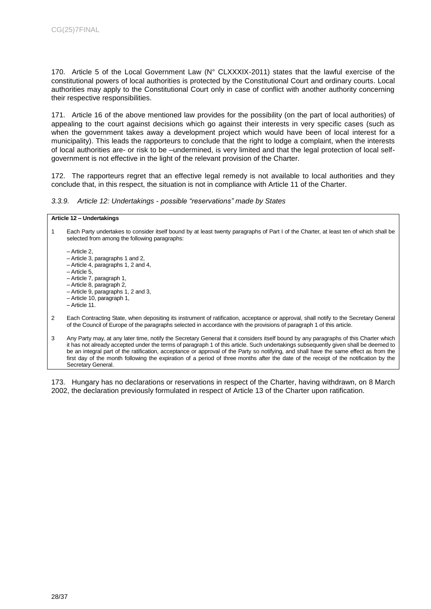170. Article 5 of the Local Government Law (N° CLXXXIX-2011) states that the lawful exercise of the constitutional powers of local authorities is protected by the Constitutional Court and ordinary courts. Local authorities may apply to the Constitutional Court only in case of conflict with another authority concerning their respective responsibilities.

171. Article 16 of the above mentioned law provides for the possibility (on the part of local authorities) of appealing to the court against decisions which go against their interests in very specific cases (such as when the government takes away a development project which would have been of local interest for a municipality). This leads the rapporteurs to conclude that the right to lodge a complaint, when the interests of local authorities are- or risk to be –undermined, is very limited and that the legal protection of local selfgovernment is not effective in the light of the relevant provision of the Charter.

172. The rapporteurs regret that an effective legal remedy is not available to local authorities and they conclude that, in this respect, the situation is not in compliance with Article 11 of the Charter.

<span id="page-27-0"></span>*3.3.9. Article 12: Undertakings - possible "reservations" made by States*

#### **Article 12 – Undertakings**

1 Each Party undertakes to consider itself bound by at least twenty paragraphs of Part I of the Charter, at least ten of which shall be selected from among the following paragraphs:

– Article 2, – Article 3, paragraphs 1 and 2, – Article 4, paragraphs 1, 2 and 4, – Article 5, – Article 7, paragraph 1, – Article 8, paragraph 2, – Article 9, paragraphs 1, 2 and 3, – Article 10, paragraph 1, – Article 11.

- 2 Each Contracting State, when depositing its instrument of ratification, acceptance or approval, shall notify to the Secretary General of the Council of Europe of the paragraphs selected in accordance with the provisions of paragraph 1 of this article.
- 3 Any Party may, at any later time, notify the Secretary General that it considers itself bound by any paragraphs of this Charter which it has not already accepted under the terms of paragraph 1 of this article. Such undertakings subsequently given shall be deemed to be an integral part of the ratification, acceptance or approval of the Party so notifying, and shall have the same effect as from the first day of the month following the expiration of a period of three months after the date of the receipt of the notification by the Secretary General.

173. Hungary has no declarations or reservations in respect of the Charter, having withdrawn, on 8 March 2002, the declaration previously formulated in respect of Article 13 of the Charter upon ratification.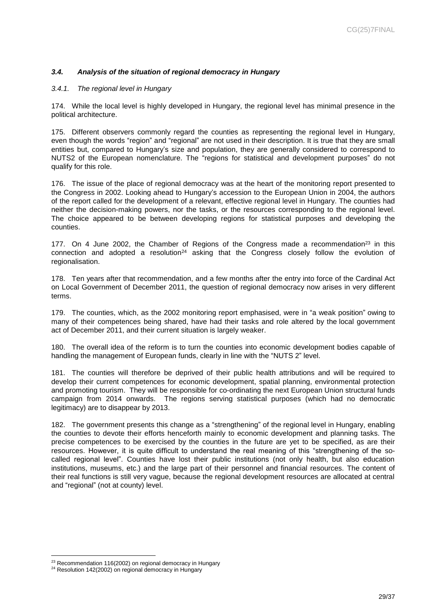## <span id="page-28-0"></span>*3.4. Analysis of the situation of regional democracy in Hungary*

#### <span id="page-28-1"></span>*3.4.1. The regional level in Hungary*

174. While the local level is highly developed in Hungary, the regional level has minimal presence in the political architecture.

175. Different observers commonly regard the counties as representing the regional level in Hungary, even though the words "region" and "regional" are not used in their description. It is true that they are small entities but, compared to Hungary's size and population, they are generally considered to correspond to NUTS2 of the European nomenclature. The "regions for statistical and development purposes" do not qualify for this role.

176. The issue of the place of regional democracy was at the heart of the monitoring report presented to the Congress in 2002. Looking ahead to Hungary's accession to the European Union in 2004, the authors of the report called for the development of a relevant, effective regional level in Hungary. The counties had neither the decision-making powers, nor the tasks, or the resources corresponding to the regional level. The choice appeared to be between developing regions for statistical purposes and developing the counties.

177. On 4 June 2002, the Chamber of Regions of the Congress made a recommendation<sup>23</sup> in this connection and adopted a resolution<sup>24</sup> asking that the Congress closely follow the evolution of regionalisation.

178. Ten years after that recommendation, and a few months after the entry into force of the Cardinal Act on Local Government of December 2011, the question of regional democracy now arises in very different terms.

179. The counties, which, as the 2002 monitoring report emphasised, were in "a weak position" owing to many of their competences being shared, have had their tasks and role altered by the local government act of December 2011, and their current situation is largely weaker.

180. The overall idea of the reform is to turn the counties into economic development bodies capable of handling the management of European funds, clearly in line with the "NUTS 2" level.

181. The counties will therefore be deprived of their public health attributions and will be required to develop their current competences for economic development, spatial planning, environmental protection and promoting tourism. They will be responsible for co-ordinating the next European Union structural funds campaign from 2014 onwards. The regions serving statistical purposes (which had no democratic legitimacy) are to disappear by 2013.

182. The government presents this change as a "strengthening" of the regional level in Hungary, enabling the counties to devote their efforts henceforth mainly to economic development and planning tasks. The precise competences to be exercised by the counties in the future are yet to be specified, as are their resources. However, it is quite difficult to understand the real meaning of this "strengthening of the socalled regional level". Counties have lost their public institutions (not only health, but also education institutions, museums, etc.) and the large part of their personnel and financial resources. The content of their real functions is still very vague, because the regional development resources are allocated at central and "regional" (not at county) level.

 $\overline{a}$ <sup>23</sup> Recommendation 116(2002) on regional democracy in Hungary

<sup>&</sup>lt;sup>24</sup> Resolution 142(2002) on regional democracy in Hungary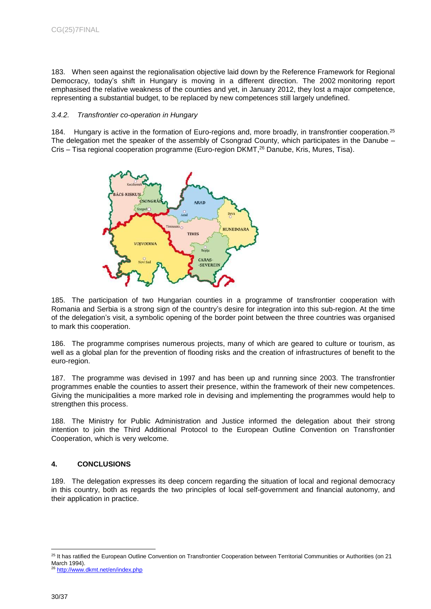183. When seen against the regionalisation objective laid down by the Reference Framework for Regional Democracy, today's shift in Hungary is moving in a different direction. The 2002 monitoring report emphasised the relative weakness of the counties and yet, in January 2012, they lost a major competence, representing a substantial budget, to be replaced by new competences still largely undefined.

#### <span id="page-29-0"></span>*3.4.2. Transfrontier co-operation in Hungary*

184. Hungary is active in the formation of Euro-regions and, more broadly, in transfrontier cooperation.<sup>25</sup> The delegation met the speaker of the assembly of Csongrad County, which participates in the Danube – Cris – Tisa regional cooperation programme (Euro-region DKMT, <sup>26</sup> Danube, Kris, Mures, Tisa).



185. The participation of two Hungarian counties in a programme of transfrontier cooperation with Romania and Serbia is a strong sign of the country's desire for integration into this sub-region. At the time of the delegation's visit, a symbolic opening of the border point between the three countries was organised to mark this cooperation.

186. The programme comprises numerous projects, many of which are geared to culture or tourism, as well as a global plan for the prevention of flooding risks and the creation of infrastructures of benefit to the euro-region.

187. The programme was devised in 1997 and has been up and running since 2003. The transfrontier programmes enable the counties to assert their presence, within the framework of their new competences. Giving the municipalities a more marked role in devising and implementing the programmes would help to strengthen this process.

188. The Ministry for Public Administration and Justice informed the delegation about their strong intention to join the Third Additional Protocol to the European Outline Convention on Transfrontier Cooperation, which is very welcome.

## <span id="page-29-1"></span>**4. CONCLUSIONS**

189. The delegation expresses its deep concern regarding the situation of local and regional democracy in this country, both as regards the two principles of local self-government and financial autonomy, and their application in practice.

<sup>&</sup>lt;sup>25</sup> It has ratified the European Outline Convention on Transfrontier Cooperation between Territorial Communities or Authorities (on 21 March 1994). <sup>26</sup> <http://www.dkmt.net/en/index.php>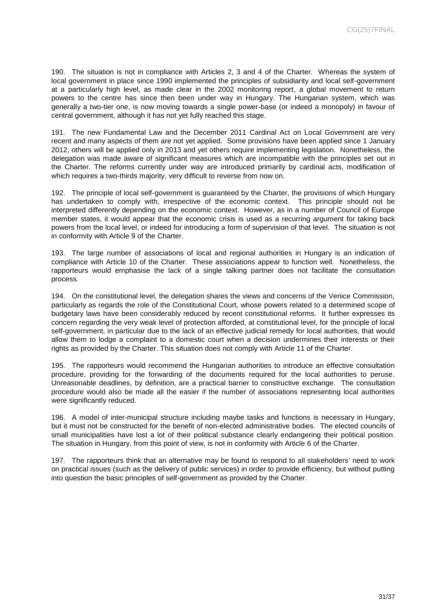190. The situation is not in compliance with Articles 2, 3 and 4 of the Charter. Whereas the system of local government in place since 1990 implemented the principles of subsidiarity and local self-government at a particularly high level, as made clear in the 2002 monitoring report, a global movement to return powers to the centre has since then been under way in Hungary. The Hungarian system, which was generally a two-tier one, is now moving towards a single power-base (or indeed a monopoly) in favour of central government, although it has not yet fully reached this stage.

191. The new Fundamental Law and the December 2011 Cardinal Act on Local Government are very recent and many aspects of them are not yet applied. Some provisions have been applied since 1 January 2012, others will be applied only in 2013 and yet others require implementing legislation. Nonetheless, the delegation was made aware of significant measures which are incompatible with the principles set out in the Charter. The reforms currently under way are introduced primarily by cardinal acts, modification of which requires a two-thirds majority, very difficult to reverse from now on.

192. The principle of local self-government is guaranteed by the Charter, the provisions of which Hungary has undertaken to comply with, irrespective of the economic context. This principle should not be interpreted differently depending on the economic context. However, as in a number of Council of Europe member states, it would appear that the economic crisis is used as a recurring argument for taking back powers from the local level, or indeed for introducing a form of supervision of that level. The situation is not in conformity with Article 9 of the Charter.

193. The large number of associations of local and regional authorities in Hungary is an indication of compliance with Article 10 of the Charter. These associations appear to function well. Nonetheless, the rapporteurs would emphasise the lack of a single talking partner does not facilitate the consultation process.

194. On the constitutional level, the delegation shares the views and concerns of the Venice Commission, particularly as regards the role of the Constitutional Court, whose powers related to a determined scope of budgetary laws have been considerably reduced by recent constitutional reforms. It further expresses its concern regarding the very weak level of protection afforded, at constitutional level, for the principle of local self-government, in particular due to the lack of an effective judicial remedy for local authorities, that would allow them to lodge a complaint to a domestic court when a decision undermines their interests or their rights as provided by the Charter. This situation does not comply with Article 11 of the Charter.

195. The rapporteurs would recommend the Hungarian authorities to introduce an effective consultation procedure, providing for the forwarding of the documents required for the local authorities to peruse. Unreasonable deadlines, by definition, are a practical barrier to constructive exchange. The consultation procedure would also be made all the easier if the number of associations representing local authorities were significantly reduced.

196. A model of inter-municipal structure including maybe tasks and functions is necessary in Hungary, but it must not be constructed for the benefit of non-elected administrative bodies. The elected councils of small municipalities have lost a lot of their political substance clearly endangering their political position. The situation in Hungary, from this point of view, is not in conformity with Article 6 of the Charter.

197. The rapporteurs think that an alternative may be found to respond to all stakeholders' need to work on practical issues (such as the delivery of public services) in order to provide efficiency, but without putting into question the basic principles of self-government as provided by the Charter.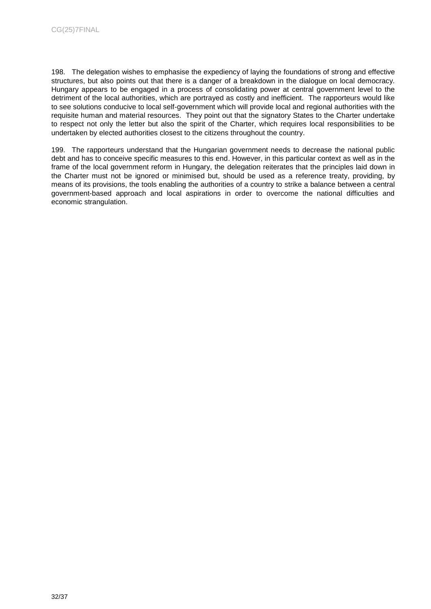198. The delegation wishes to emphasise the expediency of laying the foundations of strong and effective structures, but also points out that there is a danger of a breakdown in the dialogue on local democracy. Hungary appears to be engaged in a process of consolidating power at central government level to the detriment of the local authorities, which are portrayed as costly and inefficient. The rapporteurs would like to see solutions conducive to local self-government which will provide local and regional authorities with the requisite human and material resources. They point out that the signatory States to the Charter undertake to respect not only the letter but also the spirit of the Charter, which requires local responsibilities to be undertaken by elected authorities closest to the citizens throughout the country.

199. The rapporteurs understand that the Hungarian government needs to decrease the national public debt and has to conceive specific measures to this end. However, in this particular context as well as in the frame of the local government reform in Hungary, the delegation reiterates that the principles laid down in the Charter must not be ignored or minimised but, should be used as a reference treaty, providing, by means of its provisions, the tools enabling the authorities of a country to strike a balance between a central government-based approach and local aspirations in order to overcome the national difficulties and economic strangulation.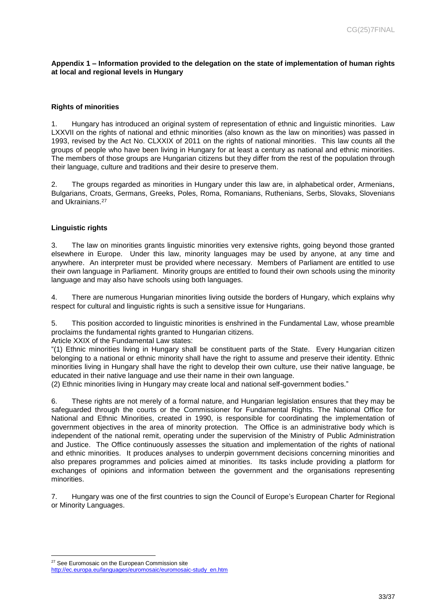<span id="page-32-0"></span>**Appendix 1 – Information provided to the delegation on the state of implementation of human rights at local and regional levels in Hungary** 

#### **Rights of minorities**

1. Hungary has introduced an original system of representation of ethnic and linguistic minorities. Law LXXVII on the rights of national and ethnic minorities (also known as the law on minorities) was passed in 1993, revised by the Act No. CLXXIX of 2011 on the rights of national minorities. This law counts all the groups of people who have been living in Hungary for at least a century as national and ethnic minorities. The members of those groups are Hungarian citizens but they differ from the rest of the population through their language, culture and traditions and their desire to preserve them.

2. The groups regarded as minorities in Hungary under this law are, in alphabetical order, Armenians, Bulgarians, Croats, Germans, Greeks, Poles, Roma, Romanians, Ruthenians, Serbs, Slovaks, Slovenians and Ukrainians.<sup>27</sup>

#### **Linguistic rights**

3. The law on minorities grants linguistic minorities very extensive rights, going beyond those granted elsewhere in Europe. Under this law, minority languages may be used by anyone, at any time and anywhere. An interpreter must be provided where necessary. Members of Parliament are entitled to use their own language in Parliament. Minority groups are entitled to found their own schools using the minority language and may also have schools using both languages.

4. There are numerous Hungarian minorities living outside the borders of Hungary, which explains why respect for cultural and linguistic rights is such a sensitive issue for Hungarians.

5. This position accorded to linguistic minorities is enshrined in the Fundamental Law, whose preamble proclaims the fundamental rights granted to Hungarian citizens.

Article XXIX of the Fundamental Law states:

"(1) Ethnic minorities living in Hungary shall be constituent parts of the State. Every Hungarian citizen belonging to a national or ethnic minority shall have the right to assume and preserve their identity. Ethnic minorities living in Hungary shall have the right to develop their own culture, use their native language, be educated in their native language and use their name in their own language.

(2) Ethnic minorities living in Hungary may create local and national self-government bodies."

6. These rights are not merely of a formal nature, and Hungarian legislation ensures that they may be safeguarded through the courts or the Commissioner for Fundamental Rights. The National Office for National and Ethnic Minorities, created in 1990, is responsible for coordinating the implementation of government objectives in the area of minority protection. The Office is an administrative body which is independent of the national remit, operating under the supervision of the Ministry of Public Administration and Justice. The Office continuously assesses the situation and implementation of the rights of national and ethnic minorities. It produces analyses to underpin government decisions concerning minorities and also prepares programmes and policies aimed at minorities. Its tasks include providing a platform for exchanges of opinions and information between the government and the organisations representing minorities.

7. Hungary was one of the first countries to sign the Council of Europe's European Charter for Regional or Minority Languages.

<sup>&</sup>lt;sup>27</sup> See Euromosaic on the European Commission site

[http://ec.europa.eu/languages/euromosaic/euromosaic-study\\_en.htm](http://ec.europa.eu/languages/euromosaic/euromosaic-study_en.htm)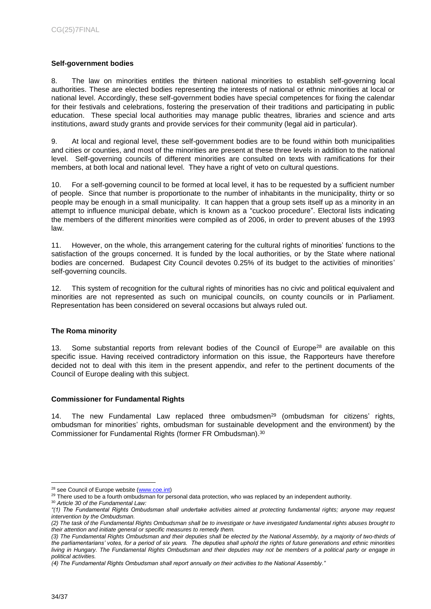## **Self-government bodies**

8. The law on minorities entitles the thirteen national minorities to establish self-governing local authorities. These are elected bodies representing the interests of national or ethnic minorities at local or national level. Accordingly, these self-government bodies have special competences for fixing the calendar for their festivals and celebrations, fostering the preservation of their traditions and participating in public education. These special local authorities may manage public theatres, libraries and science and arts institutions, award study grants and provide services for their community (legal aid in particular).

9. At local and regional level, these self-government bodies are to be found within both municipalities and cities or counties, and most of the minorities are present at these three levels in addition to the national level. Self-governing councils of different minorities are consulted on texts with ramifications for their members, at both local and national level. They have a right of veto on cultural questions.

10. For a self-governing council to be formed at local level, it has to be requested by a sufficient number of people. Since that number is proportionate to the number of inhabitants in the municipality, thirty or so people may be enough in a small municipality. It can happen that a group sets itself up as a minority in an attempt to influence municipal debate, which is known as a "cuckoo procedure". Electoral lists indicating the members of the different minorities were compiled as of 2006, in order to prevent abuses of the 1993 law.

11. However, on the whole, this arrangement catering for the cultural rights of minorities' functions to the satisfaction of the groups concerned. It is funded by the local authorities, or by the State where national bodies are concerned. Budapest City Council devotes 0.25% of its budget to the activities of minorities' self-governing councils.

12. This system of recognition for the cultural rights of minorities has no civic and political equivalent and minorities are not represented as such on municipal councils, on county councils or in Parliament. Representation has been considered on several occasions but always ruled out.

## **The Roma minority**

13. Some substantial reports from relevant bodies of the Council of Europe<sup>28</sup> are available on this specific issue. Having received contradictory information on this issue, the Rapporteurs have therefore decided not to deal with this item in the present appendix, and refer to the pertinent documents of the Council of Europe dealing with this subject.

## **Commissioner for Fundamental Rights**

14. The new Fundamental Law replaced three ombudsmen<sup>29</sup> (ombudsman for citizens' rights, ombudsman for minorities' rights, ombudsman for sustainable development and the environment) by the Commissioner for Fundamental Rights (former FR Ombudsman). 30

 $\overline{a}$ <sup>28</sup> see Council of Europe website (**www.coe.int**)

<sup>&</sup>lt;sup>29</sup> There used to be a fourth ombudsman for personal data protection, who was replaced by an independent authority.

<sup>30</sup> *Article 30 of the Fundamental Law:*

*<sup>&</sup>quot;(1) The Fundamental Rights Ombudsman shall undertake activities aimed at protecting fundamental rights; anyone may request intervention by the Ombudsman.*

*<sup>(2)</sup> The task of the Fundamental Rights Ombudsman shall be to investigate or have investigated fundamental rights abuses brought to their attention and initiate general or specific measures to remedy them.*

*<sup>(3)</sup> The Fundamental Rights Ombudsman and their deputies shall be elected by the National Assembly, by a majority of two-thirds of the parliamentarians' votes, for a period of six years. The deputies shall uphold the rights of future generations and ethnic minorities living in Hungary. The Fundamental Rights Ombudsman and their deputies may not be members of a political party or engage in political activities.*

*<sup>(4)</sup> The Fundamental Rights Ombudsman shall report annually on their activities to the National Assembly."*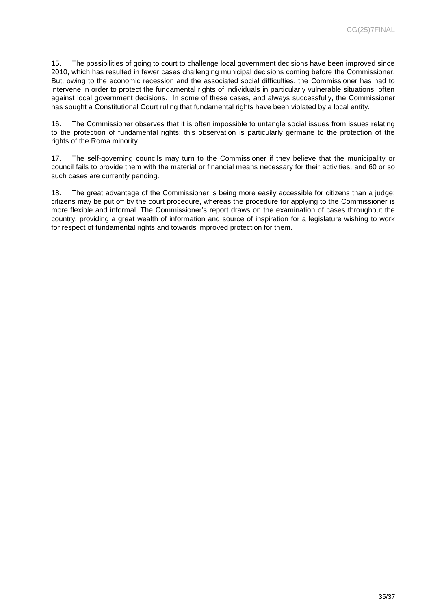15. The possibilities of going to court to challenge local government decisions have been improved since 2010, which has resulted in fewer cases challenging municipal decisions coming before the Commissioner. But, owing to the economic recession and the associated social difficulties, the Commissioner has had to intervene in order to protect the fundamental rights of individuals in particularly vulnerable situations, often against local government decisions. In some of these cases, and always successfully, the Commissioner has sought a Constitutional Court ruling that fundamental rights have been violated by a local entity.

16. The Commissioner observes that it is often impossible to untangle social issues from issues relating to the protection of fundamental rights; this observation is particularly germane to the protection of the rights of the Roma minority.

17. The self-governing councils may turn to the Commissioner if they believe that the municipality or council fails to provide them with the material or financial means necessary for their activities, and 60 or so such cases are currently pending.

18. The great advantage of the Commissioner is being more easily accessible for citizens than a judge; citizens may be put off by the court procedure, whereas the procedure for applying to the Commissioner is more flexible and informal. The Commissioner's report draws on the examination of cases throughout the country, providing a great wealth of information and source of inspiration for a legislature wishing to work for respect of fundamental rights and towards improved protection for them.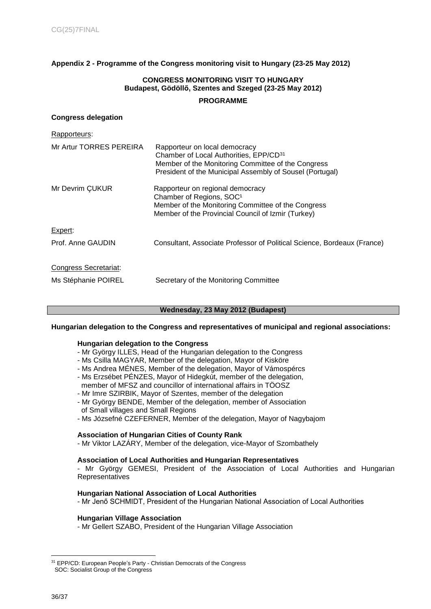## <span id="page-35-0"></span>**Appendix 2 - Programme of the Congress monitoring visit to Hungary (23-25 May 2012)**

## **CONGRESS MONITORING VISIT TO HUNGARY Budapest, Gödöllő, Szentes and Szeged (23-25 May 2012)**

#### **PROGRAMME**

#### **Congress delegation**

| Rapporteurs:            |                                                                                                                                                                                                       |
|-------------------------|-------------------------------------------------------------------------------------------------------------------------------------------------------------------------------------------------------|
| Mr Artur TORRES PEREIRA | Rapporteur on local democracy<br>Chamber of Local Authorities, EPP/CD <sup>31</sup><br>Member of the Monitoring Committee of the Congress<br>President of the Municipal Assembly of Sousel (Portugal) |
| Mr Devrim CUKUR         | Rapporteur on regional democracy<br>Chamber of Regions, SOC <sup>1</sup><br>Member of the Monitoring Committee of the Congress<br>Member of the Provincial Council of Izmir (Turkey)                  |
| Expert:                 |                                                                                                                                                                                                       |
| Prof. Anne GAUDIN       | Consultant, Associate Professor of Political Science, Bordeaux (France)                                                                                                                               |
| Congress Secretariat:   |                                                                                                                                                                                                       |
| Ms Stéphanie POIREL     | Secretary of the Monitoring Committee                                                                                                                                                                 |

#### **Wednesday, 23 May 2012 (Budapest)**

#### **Hungarian delegation to the Congress and representatives of municipal and regional associations:**

#### **Hungarian delegation to the Congress**

- Mr György ILLES, Head of the Hungarian delegation to the Congress
- Ms Csilla MAGYAR, Member of the delegation, Mayor of Kisköre
- Ms Andrea MÉNES, Member of the delegation, Mayor of Vámospércs
- Ms Erzsébet PÉNZES, Mayor of Hidegkút, member of the delegation, member of MFSZ and councillor of international affairs in TÖOSZ
- Mr Imre SZIRBIK, Mayor of Szentes, member of the delegation
- Mr György BENDE, Member of the delegation, member of Association of Small villages and Small Regions
- Ms Józsefné CZEFERNER, Member of the delegation, Mayor of Nagybajom

#### **Association of Hungarian Cities of County Rank**

- Mr Viktor LAZÁRY, Member of the delegation, vice-Mayor of Szombathely

#### **Association of Local Authorities and Hungarian Representatives**

- Mr György GEMESI, President of the Association of Local Authorities and Hungarian **Representatives** 

#### **Hungarian National Association of Local Authorities**

- Mr Jenő SCHMIDT, President of the Hungarian National Association of Local Authorities

#### **Hungarian Village Association**

- Mr Gellert SZABO, President of the Hungarian Village Association

<sup>&</sup>lt;sup>31</sup> EPP/CD: European People's Party - Christian Democrats of the Congress SOC: Socialist Group of the Congress